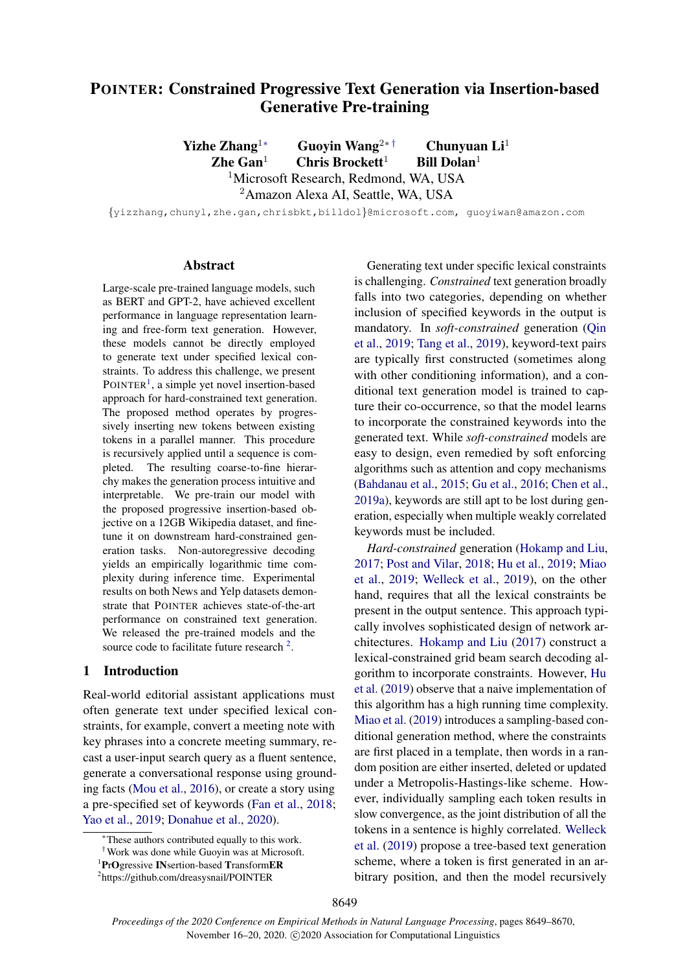# POINTER: Constrained Progressive Text Generation via Insertion-based Generative Pre-training

Yizhe Zhang<sup>1∗</sup> Guovin Wang<sup>2∗†</sup> Chunyuan Li<sup>1</sup> Zhe Gan<sup>1</sup> Chris Brockett<sup>1</sup> Bill Dolan<sup>1</sup> <sup>1</sup>Microsoft Research, Redmond, WA, USA

<sup>2</sup>Amazon Alexa AI, Seattle, WA, USA

{yizzhang,chunyl,zhe.gan,chrisbkt,billdol}@microsoft.com, guoyiwan@amazon.com

#### Abstract

Large-scale pre-trained language models, such as BERT and GPT-2, have achieved excellent performance in language representation learning and free-form text generation. However, these models cannot be directly employed to generate text under specified lexical constraints. To address this challenge, we present POINTER<sup>[1](#page-0-0)</sup>, a simple yet novel insertion-based approach for hard-constrained text generation. The proposed method operates by progressively inserting new tokens between existing tokens in a parallel manner. This procedure is recursively applied until a sequence is completed. The resulting coarse-to-fine hierarchy makes the generation process intuitive and interpretable. We pre-train our model with the proposed progressive insertion-based objective on a 12GB Wikipedia dataset, and finetune it on downstream hard-constrained generation tasks. Non-autoregressive decoding yields an empirically logarithmic time complexity during inference time. Experimental results on both News and Yelp datasets demonstrate that POINTER achieves state-of-the-art performance on constrained text generation. We released the pre-trained models and the source code to facilitate future research  $2$ .

#### 1 Introduction

Real-world editorial assistant applications must often generate text under specified lexical constraints, for example, convert a meeting note with key phrases into a concrete meeting summary, recast a user-input search query as a fluent sentence, generate a conversational response using grounding facts [\(Mou et al.,](#page-10-0) [2016\)](#page-10-0), or create a story using a pre-specified set of keywords [\(Fan et al.,](#page-9-0) [2018;](#page-9-0) [Yao et al.,](#page-10-1) [2019;](#page-10-1) [Donahue et al.,](#page-9-1) [2020\)](#page-9-1).

Generating text under specific lexical constraints is challenging. *Constrained* text generation broadly falls into two categories, depending on whether inclusion of specified keywords in the output is mandatory. In *soft-constrained* generation [\(Qin](#page-10-2) [et al.,](#page-10-2) [2019;](#page-10-2) [Tang et al.,](#page-10-3) [2019\)](#page-10-3), keyword-text pairs are typically first constructed (sometimes along with other conditioning information), and a conditional text generation model is trained to capture their co-occurrence, so that the model learns to incorporate the constrained keywords into the generated text. While *soft-constrained* models are easy to design, even remedied by soft enforcing algorithms such as attention and copy mechanisms [\(Bahdanau et al.,](#page-8-0) [2015;](#page-8-0) [Gu et al.,](#page-9-2) [2016;](#page-9-2) [Chen et al.,](#page-8-1) [2019a\)](#page-8-1), keywords are still apt to be lost during generation, especially when multiple weakly correlated keywords must be included.

*Hard-constrained* generation [\(Hokamp and Liu,](#page-9-3) [2017;](#page-9-3) [Post and Vilar,](#page-10-4) [2018;](#page-10-4) [Hu et al.,](#page-9-4) [2019;](#page-9-4) [Miao](#page-10-5) [et al.,](#page-10-5) [2019;](#page-10-5) [Welleck et al.,](#page-10-6) [2019\)](#page-10-6), on the other hand, requires that all the lexical constraints be present in the output sentence. This approach typically involves sophisticated design of network architectures. [Hokamp and Liu](#page-9-3) [\(2017\)](#page-9-3) construct a lexical-constrained grid beam search decoding algorithm to incorporate constraints. However, [Hu](#page-9-4) [et al.](#page-9-4) [\(2019\)](#page-9-4) observe that a naive implementation of this algorithm has a high running time complexity. [Miao et al.](#page-10-5) [\(2019\)](#page-10-5) introduces a sampling-based conditional generation method, where the constraints are first placed in a template, then words in a random position are either inserted, deleted or updated under a Metropolis-Hastings-like scheme. However, individually sampling each token results in slow convergence, as the joint distribution of all the tokens in a sentence is highly correlated. [Welleck](#page-10-6) [et al.](#page-10-6) [\(2019\)](#page-10-6) propose a tree-based text generation scheme, where a token is first generated in an arbitrary position, and then the model recursively

<sup>∗</sup>These authors contributed equally to this work.

<sup>†</sup>Work was done while Guoyin was at Microsoft.

<span id="page-0-0"></span><sup>&</sup>lt;sup>1</sup>PrOgressive INsertion-based TransformER

<span id="page-0-1"></span><sup>2</sup> https://github.com/dreasysnail/POINTER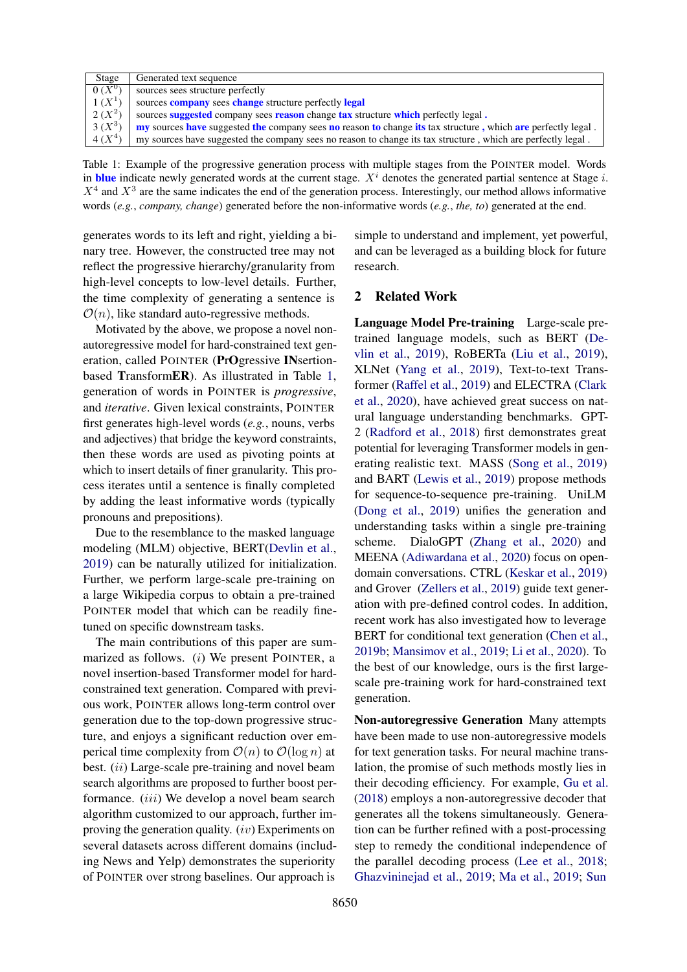<span id="page-1-0"></span>

| Stage    | Generated text sequence                                                                                                           |
|----------|-----------------------------------------------------------------------------------------------------------------------------------|
| $0(X^0)$ | sources sees structure perfectly                                                                                                  |
| $1(X^1)$ | sources <b>company</b> sees <b>change</b> structure perfectly <b>legal</b>                                                        |
| $2(X^2)$ | sources suggested company sees reason change tax structure which perfectly legal.                                                 |
| $3(X^3)$ | <b>ny</b> sources <b>have</b> suggested the company sees <b>no</b> reason to change its tax structure, which are perfectly legal. |
| $4(X^4)$ | my sources have suggested the company sees no reason to change its tax structure, which are perfectly legal.                      |

Table 1: Example of the progressive generation process with multiple stages from the POINTER model. Words in blue indicate newly generated words at the current stage.  $X<sup>i</sup>$  denotes the generated partial sentence at Stage i.  $X<sup>4</sup>$  and  $X<sup>3</sup>$  are the same indicates the end of the generation process. Interestingly, our method allows informative words (*e.g.*, *company, change*) generated before the non-informative words (*e.g.*, *the, to*) generated at the end.

generates words to its left and right, yielding a binary tree. However, the constructed tree may not reflect the progressive hierarchy/granularity from high-level concepts to low-level details. Further, the time complexity of generating a sentence is  $\mathcal{O}(n)$ , like standard auto-regressive methods.

Motivated by the above, we propose a novel nonautoregressive model for hard-constrained text generation, called POINTER (PrOgressive INsertionbased TransformER). As illustrated in Table [1,](#page-1-0) generation of words in POINTER is *progressive*, and *iterative*. Given lexical constraints, POINTER first generates high-level words (*e.g.*, nouns, verbs and adjectives) that bridge the keyword constraints, then these words are used as pivoting points at which to insert details of finer granularity. This process iterates until a sentence is finally completed by adding the least informative words (typically pronouns and prepositions).

Due to the resemblance to the masked language modeling (MLM) objective, BERT[\(Devlin et al.,](#page-9-5) [2019\)](#page-9-5) can be naturally utilized for initialization. Further, we perform large-scale pre-training on a large Wikipedia corpus to obtain a pre-trained POINTER model that which can be readily finetuned on specific downstream tasks.

The main contributions of this paper are summarized as follows. (i) We present POINTER, a novel insertion-based Transformer model for hardconstrained text generation. Compared with previous work, POINTER allows long-term control over generation due to the top-down progressive structure, and enjoys a significant reduction over emperical time complexity from  $\mathcal{O}(n)$  to  $\mathcal{O}(\log n)$  at best. *(ii)* Large-scale pre-training and novel beam search algorithms are proposed to further boost performance. *(iii)* We develop a novel beam search algorithm customized to our approach, further improving the generation quality. (iv) Experiments on several datasets across different domains (including News and Yelp) demonstrates the superiority of POINTER over strong baselines. Our approach is

simple to understand and implement, yet powerful, and can be leveraged as a building block for future research.

### 2 Related Work

Language Model Pre-training Large-scale pretrained language models, such as BERT [\(De](#page-9-5)[vlin et al.,](#page-9-5) [2019\)](#page-9-5), RoBERTa [\(Liu et al.,](#page-9-6) [2019\)](#page-9-6), XLNet [\(Yang et al.,](#page-10-7) [2019\)](#page-10-7), Text-to-text Transformer [\(Raffel et al.,](#page-10-8) [2019\)](#page-10-8) and ELECTRA [\(Clark](#page-9-7) [et al.,](#page-9-7) [2020\)](#page-9-7), have achieved great success on natural language understanding benchmarks. GPT-2 [\(Radford et al.,](#page-10-9) [2018\)](#page-10-9) first demonstrates great potential for leveraging Transformer models in generating realistic text. MASS [\(Song et al.,](#page-10-10) [2019\)](#page-10-10) and BART [\(Lewis et al.,](#page-9-8) [2019\)](#page-9-8) propose methods for sequence-to-sequence pre-training. UniLM [\(Dong et al.,](#page-9-9) [2019\)](#page-9-9) unifies the generation and understanding tasks within a single pre-training scheme. DialoGPT [\(Zhang et al.,](#page-10-11) [2020\)](#page-10-11) and MEENA [\(Adiwardana et al.,](#page-8-2) [2020\)](#page-8-2) focus on opendomain conversations. CTRL [\(Keskar et al.,](#page-9-10) [2019\)](#page-9-10) and Grover [\(Zellers et al.,](#page-10-12) [2019\)](#page-10-12) guide text generation with pre-defined control codes. In addition, recent work has also investigated how to leverage BERT for conditional text generation [\(Chen et al.,](#page-9-11) [2019b;](#page-9-11) [Mansimov et al.,](#page-10-13) [2019;](#page-10-13) [Li et al.,](#page-9-12) [2020\)](#page-9-12). To the best of our knowledge, ours is the first largescale pre-training work for hard-constrained text generation.

Non-autoregressive Generation Many attempts have been made to use non-autoregressive models for text generation tasks. For neural machine translation, the promise of such methods mostly lies in their decoding efficiency. For example, [Gu et al.](#page-9-13) [\(2018\)](#page-9-13) employs a non-autoregressive decoder that generates all the tokens simultaneously. Generation can be further refined with a post-processing step to remedy the conditional independence of the parallel decoding process [\(Lee et al.,](#page-9-14) [2018;](#page-9-14) [Ghazvininejad et al.,](#page-9-15) [2019;](#page-9-15) [Ma et al.,](#page-9-16) [2019;](#page-9-16) [Sun](#page-10-14)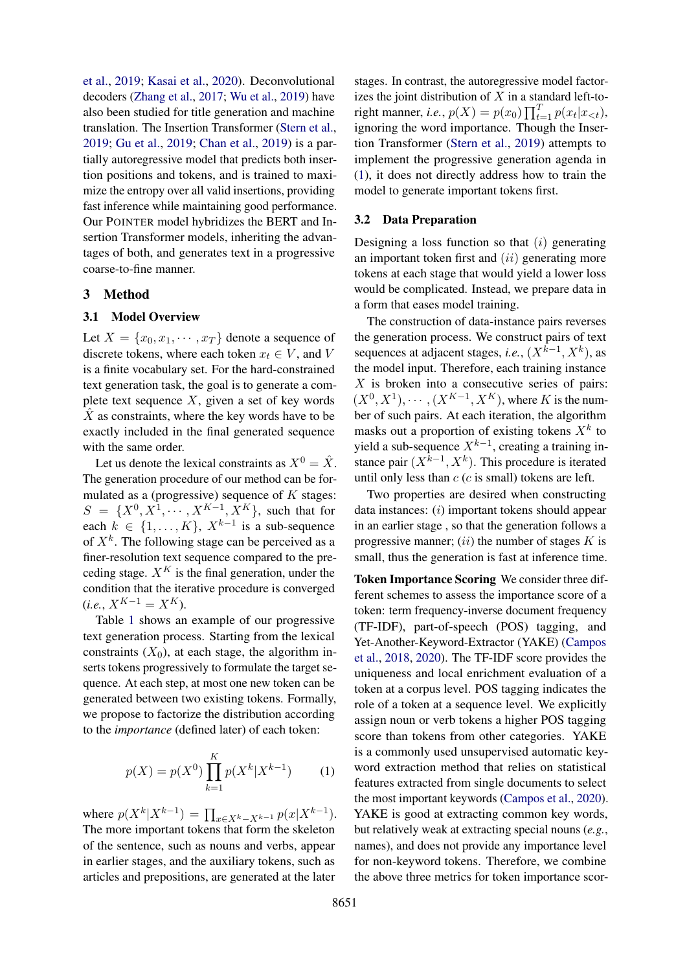[et al.,](#page-10-14) [2019;](#page-10-14) [Kasai et al.,](#page-9-17) [2020\)](#page-9-17). Deconvolutional decoders [\(Zhang et al.,](#page-10-15) [2017;](#page-10-15) [Wu et al.,](#page-10-16) [2019\)](#page-10-16) have also been studied for title generation and machine translation. The Insertion Transformer [\(Stern et al.,](#page-10-17) [2019;](#page-10-17) [Gu et al.,](#page-9-18) [2019;](#page-9-18) [Chan et al.,](#page-8-3) [2019\)](#page-8-3) is a partially autoregressive model that predicts both insertion positions and tokens, and is trained to maximize the entropy over all valid insertions, providing fast inference while maintaining good performance. Our POINTER model hybridizes the BERT and Insertion Transformer models, inheriting the advantages of both, and generates text in a progressive coarse-to-fine manner.

#### 3 Method

#### 3.1 Model Overview

Let  $X = \{x_0, x_1, \dots, x_T\}$  denote a sequence of discrete tokens, where each token  $x_t \in V$ , and V is a finite vocabulary set. For the hard-constrained text generation task, the goal is to generate a complete text sequence  $X$ , given a set of key words  $\hat{X}$  as constraints, where the key words have to be exactly included in the final generated sequence with the same order.

Let us denote the lexical constraints as  $X^0 = \hat{X}$ . The generation procedure of our method can be formulated as a (progressive) sequence of  $K$  stages:  $S = \{X^0, X^1, \dots, X^{K-1}, X^K\}$ , such that for each  $k \in \{1, ..., K\}$ ,  $X^{k-1}$  is a sub-sequence of  $X^k$ . The following stage can be perceived as a finer-resolution text sequence compared to the preceding stage.  $X^K$  is the final generation, under the condition that the iterative procedure is converged  $(i.e., X^{K-1} = X^K).$ 

Table [1](#page-1-0) shows an example of our progressive text generation process. Starting from the lexical constraints  $(X_0)$ , at each stage, the algorithm inserts tokens progressively to formulate the target sequence. At each step, at most one new token can be generated between two existing tokens. Formally, we propose to factorize the distribution according to the *importance* (defined later) of each token:

$$
p(X) = p(X^{0}) \prod_{k=1}^{K} p(X^{k}|X^{k-1})
$$
 (1)

where  $p(X^k | X^{k-1}) = \prod_{x \in X^k - X^{k-1}} p(x | X^{k-1}).$ The more important tokens that form the skeleton of the sentence, such as nouns and verbs, appear in earlier stages, and the auxiliary tokens, such as articles and prepositions, are generated at the later

stages. In contrast, the autoregressive model factorizes the joint distribution of  $X$  in a standard left-toright manner, *i.e.*,  $p(X) = p(x_0) \prod_{t=1}^{T} p(x_t | x_{< t})$ , ignoring the word importance. Though the Insertion Transformer [\(Stern et al.,](#page-10-17) [2019\)](#page-10-17) attempts to implement the progressive generation agenda in [\(1\)](#page-2-0), it does not directly address how to train the model to generate important tokens first.

#### <span id="page-2-1"></span>3.2 Data Preparation

Designing a loss function so that  $(i)$  generating an important token first and  $(ii)$  generating more tokens at each stage that would yield a lower loss would be complicated. Instead, we prepare data in a form that eases model training.

The construction of data-instance pairs reverses the generation process. We construct pairs of text sequences at adjacent stages, *i.e.*,  $(X^{k-1}, X^k)$ , as the model input. Therefore, each training instance  $X$  is broken into a consecutive series of pairs:  $(X^0, X^1), \cdots, (X^{K-1}, X^K)$ , where K is the number of such pairs. At each iteration, the algorithm masks out a proportion of existing tokens  $X^k$  to yield a sub-sequence  $X^{k-1}$ , creating a training instance pair  $(X^{k-1}, X^k)$ . This procedure is iterated until only less than  $c$  ( $c$  is small) tokens are left.

Two properties are desired when constructing data instances:  $(i)$  important tokens should appear in an earlier stage , so that the generation follows a progressive manner;  $(ii)$  the number of stages K is small, thus the generation is fast at inference time.

<span id="page-2-0"></span>Token Importance Scoring We consider three different schemes to assess the importance score of a token: term frequency-inverse document frequency (TF-IDF), part-of-speech (POS) tagging, and Yet-Another-Keyword-Extractor (YAKE) [\(Campos](#page-8-4) [et al.,](#page-8-4) [2018,](#page-8-4) [2020\)](#page-8-5). The TF-IDF score provides the uniqueness and local enrichment evaluation of a token at a corpus level. POS tagging indicates the role of a token at a sequence level. We explicitly assign noun or verb tokens a higher POS tagging score than tokens from other categories. YAKE is a commonly used unsupervised automatic keyword extraction method that relies on statistical features extracted from single documents to select the most important keywords [\(Campos et al.,](#page-8-5) [2020\)](#page-8-5). YAKE is good at extracting common key words, but relatively weak at extracting special nouns (*e.g.*, names), and does not provide any importance level for non-keyword tokens. Therefore, we combine the above three metrics for token importance scor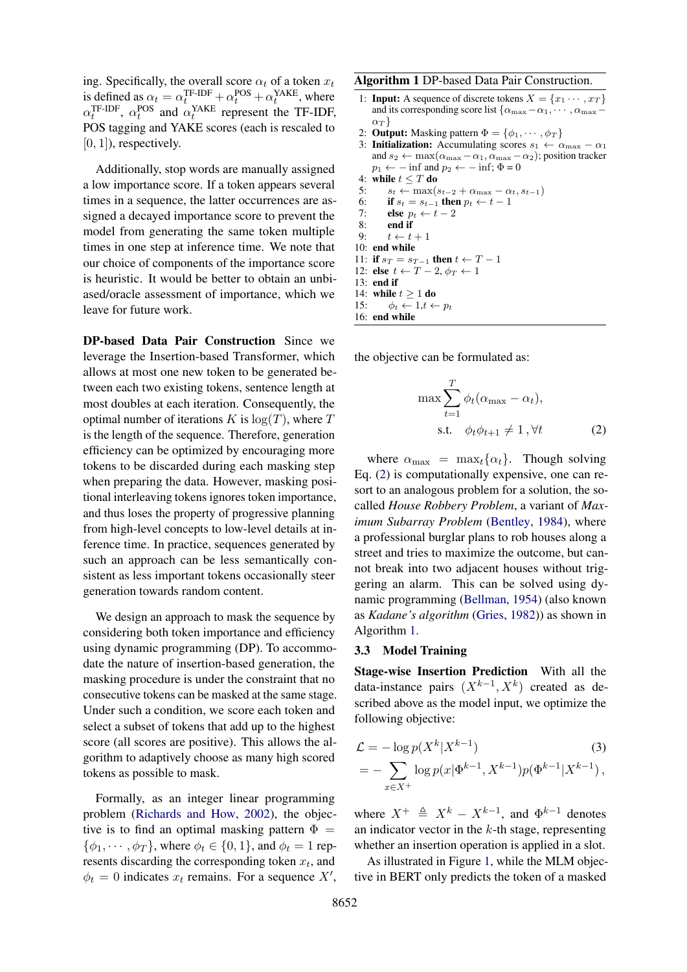ing. Specifically, the overall score  $\alpha_t$  of a token  $x_t$ is defined as  $\alpha_t = \alpha_t^{\text{TF-IDF}} + \alpha_t^{\text{POS}} + \alpha_t^{\text{YAKE}}$ , where  $\alpha_t^{\text{TF-IDF}}$ ,  $\alpha_t^{\text{POS}}$  and  $\alpha_t^{\text{YAKE}}$  represent the TF-IDF, POS tagging and YAKE scores (each is rescaled to  $[0, 1]$ ), respectively.

Additionally, stop words are manually assigned a low importance score. If a token appears several times in a sequence, the latter occurrences are assigned a decayed importance score to prevent the model from generating the same token multiple times in one step at inference time. We note that our choice of components of the importance score is heuristic. It would be better to obtain an unbiased/oracle assessment of importance, which we leave for future work.

DP-based Data Pair Construction Since we leverage the Insertion-based Transformer, which allows at most one new token to be generated between each two existing tokens, sentence length at most doubles at each iteration. Consequently, the optimal number of iterations K is  $log(T)$ , where T is the length of the sequence. Therefore, generation efficiency can be optimized by encouraging more tokens to be discarded during each masking step when preparing the data. However, masking positional interleaving tokens ignores token importance, and thus loses the property of progressive planning from high-level concepts to low-level details at inference time. In practice, sequences generated by such an approach can be less semantically consistent as less important tokens occasionally steer generation towards random content.

We design an approach to mask the sequence by considering both token importance and efficiency using dynamic programming (DP). To accommodate the nature of insertion-based generation, the masking procedure is under the constraint that no consecutive tokens can be masked at the same stage. Under such a condition, we score each token and select a subset of tokens that add up to the highest score (all scores are positive). This allows the algorithm to adaptively choose as many high scored tokens as possible to mask.

Formally, as an integer linear programming problem [\(Richards and How,](#page-10-18) [2002\)](#page-10-18), the objective is to find an optimal masking pattern  $\Phi =$  $\{\phi_1, \dots, \phi_T\}$ , where  $\phi_t \in \{0, 1\}$ , and  $\phi_t = 1$  represents discarding the corresponding token  $x_t$ , and  $\phi_t = 0$  indicates  $x_t$  remains. For a sequence X',

#### <span id="page-3-1"></span>Algorithm 1 DP-based Data Pair Construction.

- 1: **Input:** A sequence of discrete tokens  $X = \{x_1 \cdots, x_T\}$ and its corresponding score list { $\alpha_{\text{max}} - \alpha_1, \cdots, \alpha_{\text{max}} \alpha_T$ }
- 2: **Output:** Masking pattern  $\Phi = {\phi_1, \cdots, \phi_T}$
- 3: Initialization: Accumulating scores  $s_1 \leftarrow \alpha_{\text{max}} \alpha_1$ and  $s_2 \leftarrow \max(\alpha_{\max} - \alpha_1, \alpha_{\max} - \alpha_2)$ ; position tracker  $p_1 \leftarrow -\inf$  and  $p_2 \leftarrow -\inf$ ;  $\Phi = 0$ 4: while  $t \leq T$  do
- 5:  $s_t \leftarrow \max(s_{t-2} + \alpha_{\max} \alpha_t, s_{t-1})$
- 6: **if**  $s_t = s_{t-1}$  then  $p_t \leftarrow t 1$
- 7: else  $p_t \leftarrow t 2$
- 8: end if 9:  $t \leftarrow t + 1$
- 10: end while
- 11: if  $s_T = s_{T-1}$  then  $t \leftarrow T-1$
- 12: else  $t \leftarrow T 2, \phi_T \leftarrow 1$
- 13: end if
- 14: while  $t \geq 1$  do
- 15:  $\phi_t \leftarrow 1, t \leftarrow p_t$
- 16: end while

the objective can be formulated as:

<span id="page-3-0"></span>
$$
\max \sum_{t=1}^{T} \phi_t(\alpha_{\max} - \alpha_t),
$$
  
s.t.  $\phi_t \phi_{t+1} \neq 1, \forall t$  (2)

where  $\alpha_{\text{max}} = \max_t {\alpha_t}$ . Though solving Eq. [\(2\)](#page-3-0) is computationally expensive, one can resort to an analogous problem for a solution, the socalled *House Robbery Problem*, a variant of *Maximum Subarray Problem* [\(Bentley,](#page-8-6) [1984\)](#page-8-6), where a professional burglar plans to rob houses along a street and tries to maximize the outcome, but cannot break into two adjacent houses without triggering an alarm. This can be solved using dynamic programming [\(Bellman,](#page-8-7) [1954\)](#page-8-7) (also known as *Kadane's algorithm* [\(Gries,](#page-9-19) [1982\)](#page-9-19)) as shown in Algorithm [1.](#page-3-1)

#### 3.3 Model Training

Stage-wise Insertion Prediction With all the data-instance pairs  $(X^{k-1}, X^k)$  created as described above as the model input, we optimize the following objective:

<span id="page-3-2"></span>
$$
\mathcal{L} = -\log p(X^k | X^{k-1})
$$
\n
$$
= -\sum_{x \in X^+} \log p(x | \Phi^{k-1}, X^{k-1}) p(\Phi^{k-1} | X^{k-1}),
$$
\n(3)

where  $X^+ \triangleq X^k - X^{k-1}$ , and  $\Phi^{k-1}$  denotes an indicator vector in the  $k$ -th stage, representing whether an insertion operation is applied in a slot.

As illustrated in Figure [1,](#page-4-0) while the MLM objective in BERT only predicts the token of a masked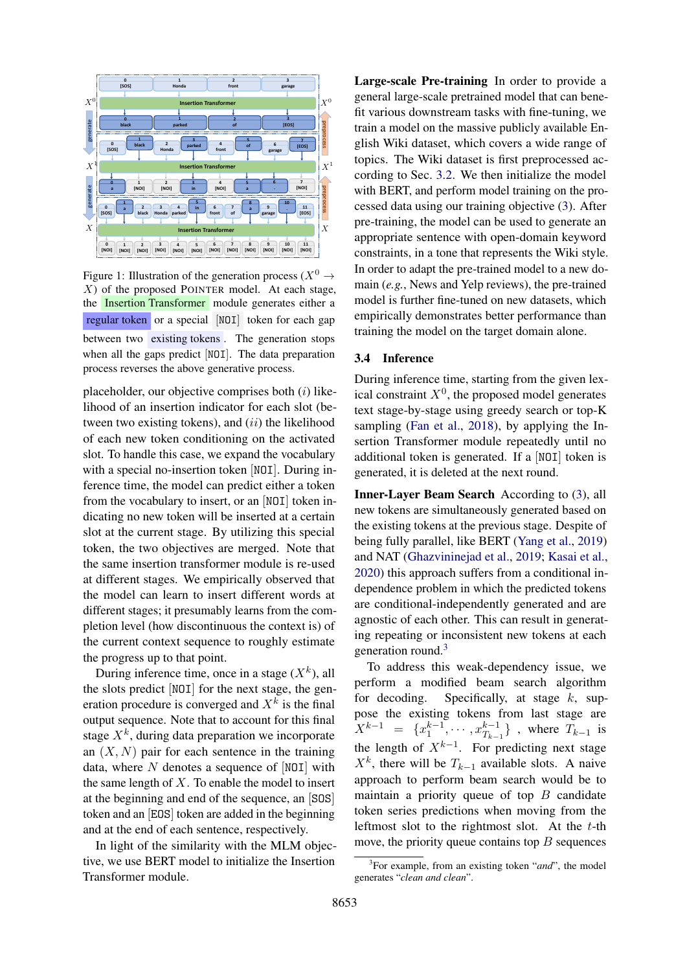<span id="page-4-0"></span>

Figure 1: Illustration of the generation process ( $X^0 \rightarrow$ X) of the proposed POINTER model. At each stage, the Insertion Transformer module generates either a regular token or a special [NOI] token for each gap between two existing tokens . The generation stops when all the gaps predict [NOI]. The data preparation process reverses the above generative process.

placeholder, our objective comprises both  $(i)$  likelihood of an insertion indicator for each slot (between two existing tokens), and  $(ii)$  the likelihood of each new token conditioning on the activated slot. To handle this case, we expand the vocabulary with a special no-insertion token [NOI]. During inference time, the model can predict either a token from the vocabulary to insert, or an [NOI] token indicating no new token will be inserted at a certain slot at the current stage. By utilizing this special token, the two objectives are merged. Note that the same insertion transformer module is re-used at different stages. We empirically observed that the model can learn to insert different words at different stages; it presumably learns from the completion level (how discontinuous the context is) of the current context sequence to roughly estimate the progress up to that point.

During inference time, once in a stage  $(X^k)$ , all the slots predict [NOI] for the next stage, the generation procedure is converged and  $X<sup>k</sup>$  is the final output sequence. Note that to account for this final stage  $X^k$ , during data preparation we incorporate an  $(X, N)$  pair for each sentence in the training data, where  $N$  denotes a sequence of [NOI] with the same length of  $X$ . To enable the model to insert at the beginning and end of the sequence, an [SOS] token and an [EOS] token are added in the beginning and at the end of each sentence, respectively.

In light of the similarity with the MLM objective, we use BERT model to initialize the Insertion Transformer module.

Large-scale Pre-training In order to provide a general large-scale pretrained model that can benefit various downstream tasks with fine-tuning, we train a model on the massive publicly available English Wiki dataset, which covers a wide range of topics. The Wiki dataset is first preprocessed according to Sec. [3.2.](#page-2-1) We then initialize the model with BERT, and perform model training on the processed data using our training objective [\(3\)](#page-3-2). After pre-training, the model can be used to generate an appropriate sentence with open-domain keyword constraints, in a tone that represents the Wiki style. In order to adapt the pre-trained model to a new domain (*e.g.*, News and Yelp reviews), the pre-trained model is further fine-tuned on new datasets, which empirically demonstrates better performance than training the model on the target domain alone.

#### 3.4 Inference

During inference time, starting from the given lexical constraint  $X^0$ , the proposed model generates text stage-by-stage using greedy search or top-K sampling [\(Fan et al.,](#page-9-0) [2018\)](#page-9-0), by applying the Insertion Transformer module repeatedly until no additional token is generated. If a [NOI] token is generated, it is deleted at the next round.

Inner-Layer Beam Search According to [\(3\)](#page-3-2), all new tokens are simultaneously generated based on the existing tokens at the previous stage. Despite of being fully parallel, like BERT [\(Yang et al.,](#page-10-7) [2019\)](#page-10-7) and NAT [\(Ghazvininejad et al.,](#page-9-15) [2019;](#page-9-15) [Kasai et al.,](#page-9-17) [2020\)](#page-9-17) this approach suffers from a conditional independence problem in which the predicted tokens are conditional-independently generated and are agnostic of each other. This can result in generating repeating or inconsistent new tokens at each generation round.<sup>[3](#page-4-1)</sup>

To address this weak-dependency issue, we perform a modified beam search algorithm for decoding. Specifically, at stage  $k$ , suppose the existing tokens from last stage are  $X^{k-1} = \{x_1^{k-1}, \cdots, x_{T_{k-1}}^{k-1}\}\$ , where  $T_{k-1}$  is the length of  $X^{k-1}$ . For predicting next stage  $X^k$ , there will be  $T_{k-1}$  available slots. A naive approach to perform beam search would be to maintain a priority queue of top  $B$  candidate token series predictions when moving from the leftmost slot to the rightmost slot. At the  $t$ -th move, the priority queue contains top  $B$  sequences

<span id="page-4-1"></span><sup>3</sup> For example, from an existing token "*and*", the model generates "*clean and clean*".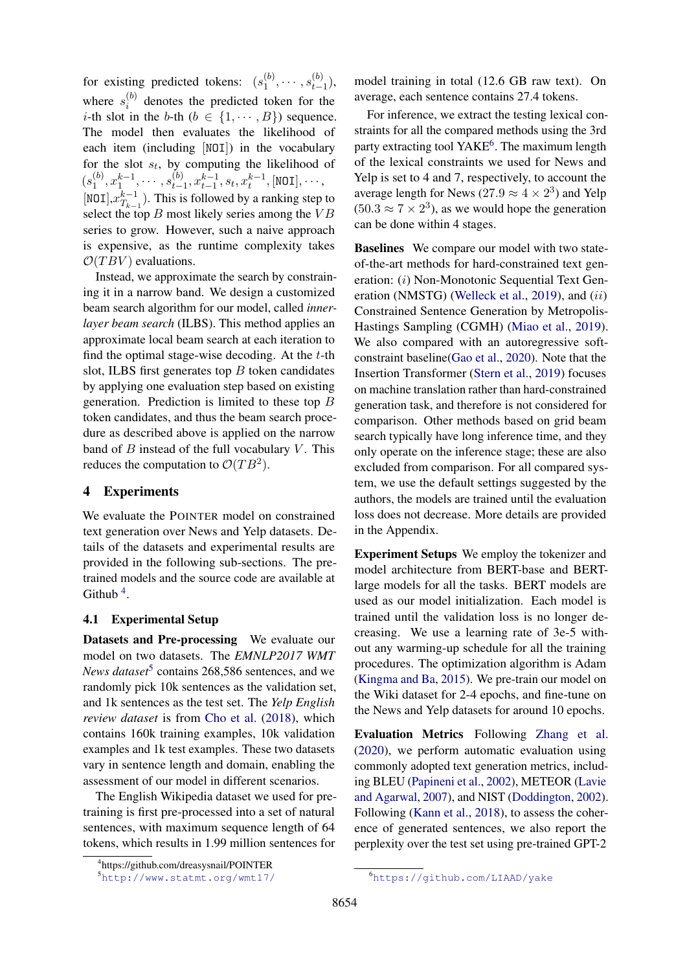for existing predicted tokens:  $(s_1^{(b)})$  $\binom{b}{1}, \cdots, s_{t-1}^{(b)}$  $_{t-1}^{(0)}$ ), where  $s_i^{(b)}$  $i^{(0)}$  denotes the predicted token for the *i*-th slot in the *b*-th  $(b \in \{1, \cdots, B\})$  sequence. The model then evaluates the likelihood of each item (including [NOI]) in the vocabulary for the slot  $s_t$ , by computing the likelihood of  $(s_1^{(b)}$  $\binom{b}{1}, x_1^{k-1}, \cdots, s_{t-1}^{(b)}$  $t_{t-1}^{(b)}, x_{t-1}^{k-1}, s_t, x_t^{k-1}, [\texttt{NOI}], \cdots,$ [NOI], $x_{T_h}^{k-1}$  $T_{k-1}^{k-1}$ ). This is followed by a ranking step to select the top  $B$  most likely series among the  $VB$ series to grow. However, such a naive approach is expensive, as the runtime complexity takes  $\mathcal{O}(T B V)$  evaluations.

Instead, we approximate the search by constraining it in a narrow band. We design a customized beam search algorithm for our model, called *innerlayer beam search* (ILBS). This method applies an approximate local beam search at each iteration to find the optimal stage-wise decoding. At the  $t$ -th slot, ILBS first generates top  $B$  token candidates by applying one evaluation step based on existing generation. Prediction is limited to these top B token candidates, and thus the beam search procedure as described above is applied on the narrow band of  $B$  instead of the full vocabulary  $V$ . This reduces the computation to  $\mathcal{O}(TB^2)$ .

## 4 Experiments

We evaluate the POINTER model on constrained text generation over News and Yelp datasets. Details of the datasets and experimental results are provided in the following sub-sections. The pretrained models and the source code are available at Github<sup>[4](#page-5-0)</sup>.

#### 4.1 Experimental Setup

Datasets and Pre-processing We evaluate our model on two datasets. The *EMNLP2017 WMT News dataset*[5](#page-5-1) contains 268,586 sentences, and we randomly pick 10k sentences as the validation set, and 1k sentences as the test set. The *Yelp English review dataset* is from [Cho et al.](#page-9-20) [\(2018\)](#page-9-20), which contains 160k training examples, 10k validation examples and 1k test examples. These two datasets vary in sentence length and domain, enabling the assessment of our model in different scenarios.

The English Wikipedia dataset we used for pretraining is first pre-processed into a set of natural sentences, with maximum sequence length of 64 tokens, which results in 1.99 million sentences for model training in total (12.6 GB raw text). On average, each sentence contains 27.4 tokens.

For inference, we extract the testing lexical constraints for all the compared methods using the 3rd party extracting tool YAKE<sup>[6](#page-5-2)</sup>. The maximum length of the lexical constraints we used for News and Yelp is set to 4 and 7, respectively, to account the average length for News (27.9  $\approx$  4  $\times$  2<sup>3</sup>) and Yelp  $(50.3 \approx 7 \times 2^3)$ , as we would hope the generation can be done within 4 stages.

Baselines We compare our model with two stateof-the-art methods for hard-constrained text generation: (i) Non-Monotonic Sequential Text Gen-eration (NMSTG) [\(Welleck et al.,](#page-10-6) [2019\)](#page-10-6), and (ii) Constrained Sentence Generation by Metropolis-Hastings Sampling (CGMH) [\(Miao et al.,](#page-10-5) [2019\)](#page-10-5). We also compared with an autoregressive softconstraint baseline[\(Gao et al.,](#page-9-21) [2020\)](#page-9-21). Note that the Insertion Transformer [\(Stern et al.,](#page-10-17) [2019\)](#page-10-17) focuses on machine translation rather than hard-constrained generation task, and therefore is not considered for comparison. Other methods based on grid beam search typically have long inference time, and they only operate on the inference stage; these are also excluded from comparison. For all compared system, we use the default settings suggested by the authors, the models are trained until the evaluation loss does not decrease. More details are provided in the Appendix.

Experiment Setups We employ the tokenizer and model architecture from BERT-base and BERTlarge models for all the tasks. BERT models are used as our model initialization. Each model is trained until the validation loss is no longer decreasing. We use a learning rate of 3e-5 without any warming-up schedule for all the training procedures. The optimization algorithm is Adam [\(Kingma and Ba,](#page-9-22) [2015\)](#page-9-22). We pre-train our model on the Wiki dataset for 2-4 epochs, and fine-tune on the News and Yelp datasets for around 10 epochs.

Evaluation Metrics Following [Zhang et al.](#page-10-11) [\(2020\)](#page-10-11), we perform automatic evaluation using commonly adopted text generation metrics, including BLEU [\(Papineni et al.,](#page-10-19) [2002\)](#page-10-19), METEOR [\(Lavie](#page-9-23) [and Agarwal,](#page-9-23) [2007\)](#page-9-23), and NIST [\(Doddington,](#page-9-24) [2002\)](#page-9-24). Following [\(Kann et al.,](#page-9-25) [2018\)](#page-9-25), to assess the coherence of generated sentences, we also report the perplexity over the test set using pre-trained GPT-2

<span id="page-5-0"></span><sup>4</sup> https://github.com/dreasysnail/POINTER

<span id="page-5-1"></span><sup>5</sup><http://www.statmt.org/wmt17/>

<span id="page-5-2"></span><sup>6</sup><https://github.com/LIAAD/yake>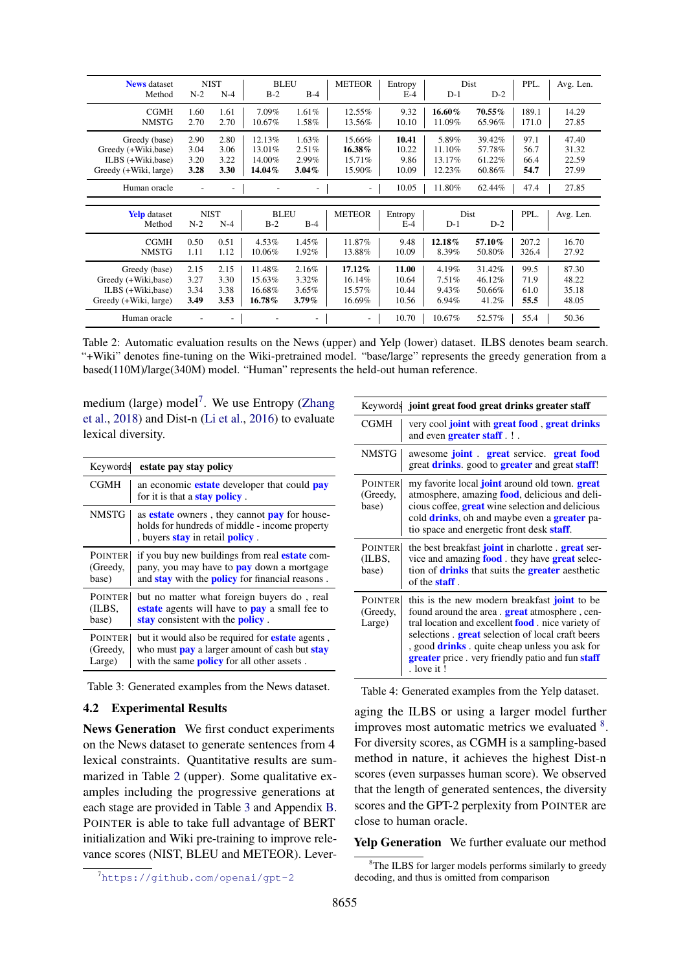<span id="page-6-1"></span>

| <b>News</b> dataset   |       | <b>NIST</b> | <b>BLEU</b> |          | <b>METEOR</b> | Entropy |        | Dist   | PPL.  | Avg. Len. |
|-----------------------|-------|-------------|-------------|----------|---------------|---------|--------|--------|-------|-----------|
| Method                | $N-2$ | $N-4$       | $B-2$       | $B-4$    |               | $E-4$   | $D-1$  | $D-2$  |       |           |
| <b>CGMH</b>           | 1.60  | 1.61        | 7.09%       | $1.61\%$ | 12.55%        | 9.32    | 16.60% | 70.55% | 189.1 | 14.29     |
| <b>NMSTG</b>          | 2.70  | 2.70        | 10.67%      | 1.58%    | 13.56%        | 10.10   | 11.09% | 65.96% | 171.0 | 27.85     |
| Greedy (base)         | 2.90  | 2.80        | 12.13%      | $1.63\%$ | 15.66%        | 10.41   | 5.89%  | 39.42% | 97.1  | 47.40     |
| Greedy (+Wiki,base)   | 3.04  | 3.06        | 13.01%      | 2.51%    | 16.38%        | 10.22   | 11.10% | 57.78% | 56.7  | 31.32     |
| ILBS (+Wiki,base)     | 3.20  | 3.22        | 14.00%      | 2.99%    | 15.71%        | 9.86    | 13.17% | 61.22% | 66.4  | 22.59     |
| Greedy (+Wiki, large) | 3.28  | 3.30        | 14.04%      | $3.04\%$ | 15.90%        | 10.09   | 12.23% | 60.86% | 54.7  | 27.99     |
| Human oracle          |       |             |             |          |               | 10.05   | 11.80% | 62.44% | 47.4  | 27.85     |
|                       |       |             |             |          |               |         |        |        |       |           |
| <b>Yelp</b> dataset   |       | <b>NIST</b> | <b>BLEU</b> |          | <b>METEOR</b> | Entropy |        | Dist   | PPL.  | Avg. Len. |
| Method                | $N-2$ | $N-4$       | $B-2$       | $B-4$    |               | $E-4$   | $D-1$  | $D-2$  |       |           |
| <b>CGMH</b>           | 0.50  | 0.51        | 4.53%       | 1.45%    | 11.87%        | 9.48    | 12.18% | 57.10% | 207.2 | 16.70     |
| <b>NMSTG</b>          | 1.11  | 1.12        | 10.06%      | 1.92%    | 13.88%        | 10.09   | 8.39%  | 50.80% | 326.4 | 27.92     |
| Greedy (base)         | 2.15  | 2.15        | 11.48%      | 2.16%    | 17.12%        | 11.00   | 4.19%  | 31.42% | 99.5  | 87.30     |
| Greedy (+Wiki,base)   | 3.27  | 3.30        | 15.63%      | $3.32\%$ | 16.14%        | 10.64   | 7.51%  | 46.12% | 71.9  | 48.22     |
| ILBS (+Wiki,base)     | 3.34  | 3.38        | 16.68%      | 3.65%    | 15.57%        | 10.44   | 9.43%  | 50.66% | 61.0  | 35.18     |
| Greedy (+Wiki, large) | 3.49  | 3.53        | 16.78%      | $3.79\%$ | 16.69%        | 10.56   | 6.94%  | 41.2%  | 55.5  | 48.05     |
|                       |       |             |             |          |               |         |        |        |       |           |

Table 2: Automatic evaluation results on the News (upper) and Yelp (lower) dataset. ILBS denotes beam search. "+Wiki" denotes fine-tuning on the Wiki-pretrained model. "base/large" represents the greedy generation from a based(110M)/large(340M) model. "Human" represents the held-out human reference.

medium (large) model<sup>[7](#page-6-0)</sup>. We use Entropy [\(Zhang](#page-10-20) [et al.,](#page-10-20) [2018\)](#page-10-20) and Dist-n [\(Li et al.,](#page-9-26) [2016\)](#page-9-26) to evaluate lexical diversity.

<span id="page-6-2"></span>

| Keywords                             | estate pay stay policy                                                                                                                                                      |
|--------------------------------------|-----------------------------------------------------------------------------------------------------------------------------------------------------------------------------|
| <b>CGMH</b>                          | an economic <b>estate</b> developer that could <b>pay</b><br>for it is that a <b>stay policy</b> .                                                                          |
| <b>NMSTG</b>                         | as <b>estate</b> owners, they cannot <b>pay</b> for house-<br>holds for hundreds of middle - income property<br>, buyers <b>stay</b> in retail <b>policy</b> .              |
| <b>POINTER</b><br>(Greedy,<br>base)  | if you buy new buildings from real <b>estate</b> com-<br>pany, you may have to <b>pay</b> down a mortgage<br>and <b>stay</b> with the <b>policy</b> for financial reasons.  |
| <b>POINTER</b><br>(ILBS,<br>base)    | but no matter what foreign buyers do, real<br>estate agents will have to pay a small fee to<br>stay consistent with the <b>policy</b> .                                     |
| <b>POINTER</b><br>(Greedy,<br>Large) | but it would also be required for <b>estate</b> agents,<br>who must <b>pay</b> a larger amount of cash but <b>stay</b><br>with the same <b>policy</b> for all other assets. |

Table 3: Generated examples from the News dataset.

#### 4.2 Experimental Results

News Generation We first conduct experiments on the News dataset to generate sentences from 4 lexical constraints. Quantitative results are summarized in Table [2](#page-6-1) (upper). Some qualitative examples including the progressive generations at each stage are provided in Table [3](#page-6-2) and Appendix [B.](#page-11-0) POINTER is able to take full advantage of BERT initialization and Wiki pre-training to improve relevance scores (NIST, BLEU and METEOR). Lever-

<span id="page-6-4"></span>

|                                      | Keywords joint great food great drinks greater staff                                                                                                                                                                                                                                                                                                           |
|--------------------------------------|----------------------------------------------------------------------------------------------------------------------------------------------------------------------------------------------------------------------------------------------------------------------------------------------------------------------------------------------------------------|
| CGMH                                 | very cool <b>joint</b> with <b>great food</b> , <b>great drinks</b><br>and even <b>greater staff</b> . ! .                                                                                                                                                                                                                                                     |
| <b>NMSTG</b>                         | awesome <b>joint great</b> service. <b>great food</b><br>great <b>drinks</b> , good to <b>greater</b> and great <b>staff</b> !                                                                                                                                                                                                                                 |
| <b>POINTER</b><br>(Greedy,<br>base)  | my favorite local <b>joint</b> around old town. <b>great</b><br>atmosphere, amazing <b>food</b> , delicious and deli-<br>cious coffee, <b>great</b> wine selection and delicious<br>cold <b>drinks</b> , oh and maybe even a <b>greater</b> pa-<br>tio space and energetic front desk <b>staff</b> .                                                           |
| <b>POINTER</b><br>(ILBS,<br>base)    | the best breakfast <b>joint</b> in charlotte. <b>great</b> ser-<br>vice and amazing <b>food</b> they have <b>great</b> selec-<br>tion of <b>drinks</b> that suits the <b>greater</b> aesthetic<br>of the <b>staff</b> .                                                                                                                                        |
| <b>POINTER</b><br>(Greedy,<br>Large) | this is the new modern breakfast <b>joint</b> to be<br>found around the area. <b>great</b> atmosphere, cen-<br>tral location and excellent <b>food</b> nice variety of<br>selections. <b>great</b> selection of local craft beers<br>, good <b>drinks</b> . quite cheap unless you ask for<br>greater price . very friendly patio and fun staff<br>. love it ! |

Table 4: Generated examples from the Yelp dataset.

aging the ILBS or using a larger model further improves most automatic metrics we evaluated <sup>[8](#page-6-3)</sup>. For diversity scores, as CGMH is a sampling-based method in nature, it achieves the highest Dist-n scores (even surpasses human score). We observed that the length of generated sentences, the diversity scores and the GPT-2 perplexity from POINTER are close to human oracle.

Yelp Generation We further evaluate our method

<span id="page-6-0"></span><sup>7</sup><https://github.com/openai/gpt-2>

<span id="page-6-3"></span><sup>&</sup>lt;sup>8</sup>The ILBS for larger models performs similarly to greedy decoding, and thus is omitted from comparison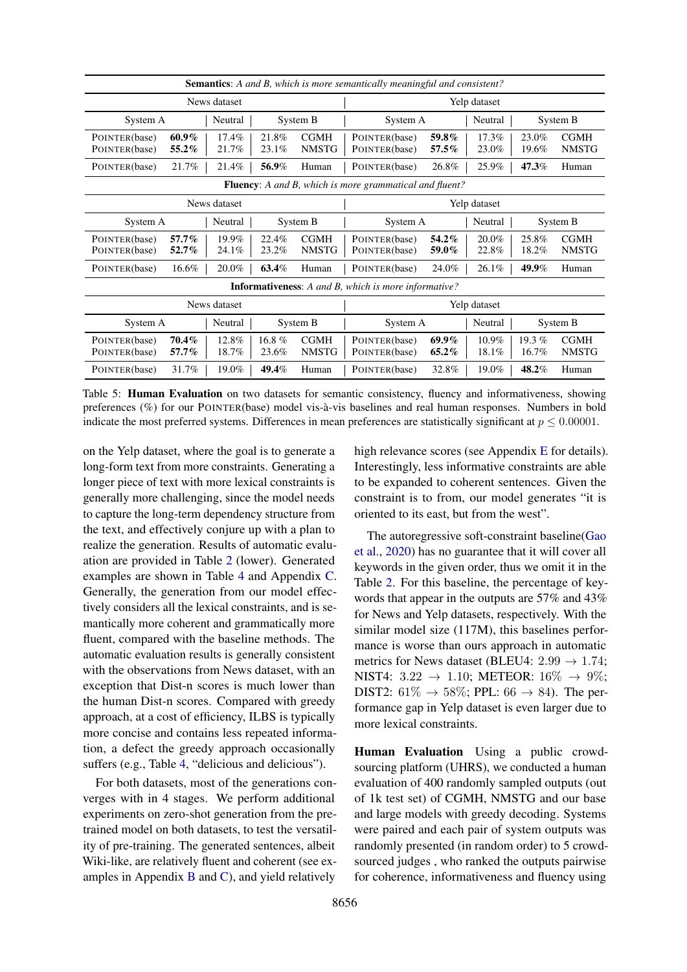<span id="page-7-0"></span>

| <b>Semantics:</b> A and B, which is more semantically meaningful and consistent? |                |                   |                             |                                                                |                   |                |                   |                             |
|----------------------------------------------------------------------------------|----------------|-------------------|-----------------------------|----------------------------------------------------------------|-------------------|----------------|-------------------|-----------------------------|
| News dataset                                                                     |                |                   |                             |                                                                |                   | Yelp dataset   |                   |                             |
| System A                                                                         | Neutral        |                   | System B                    | System A                                                       |                   | Neutral        |                   | System B                    |
| $60.9\%$<br>POINTER(base)<br>POINTER(base)<br>55.2%                              | 17.4%<br>21.7% | 21.8%<br>23.1%    | <b>CGMH</b><br><b>NMSTG</b> | POINTER(base)<br>POINTER(base)                                 | 59.8%<br>57.5%    | 17.3%<br>23.0% | 23.0%<br>19.6%    | <b>CGMH</b><br><b>NMSTG</b> |
| 21.7%<br>POINTER(base)                                                           | 21.4%          | 56.9%             | Human                       | POINTER(base)                                                  | 26.8%             | 25.9%          | 47.3%             | Human                       |
|                                                                                  |                |                   |                             | <b>Fluency:</b> A and B, which is more grammatical and fluent? |                   |                |                   |                             |
|                                                                                  | News dataset   |                   |                             |                                                                |                   | Yelp dataset   |                   |                             |
| System A                                                                         | Neutral        |                   | System B                    | System A                                                       |                   | Neutral        |                   | System B                    |
| 57.7%<br>POINTER(base)<br>POINTER(base)<br>52.7%                                 | 19.9%<br>24.1% | 22.4%<br>23.2%    | <b>CGMH</b><br><b>NMSTG</b> | POINTER(base)<br>POINTER(base)                                 | 54.2%<br>59.0%    | 20.0%<br>22.8% | 25.8%<br>18.2%    | <b>CGMH</b><br><b>NMSTG</b> |
| $16.6\%$<br>POINTER(base)                                                        | 20.0%          | 63.4%             | Human                       | POINTER(base)                                                  | 24.0%             | 26.1%          | 49.9%             | Human                       |
|                                                                                  |                |                   |                             | <b>Informativeness:</b> A and B, which is more informative?    |                   |                |                   |                             |
| News dataset                                                                     |                |                   |                             |                                                                | Yelp dataset      |                |                   |                             |
| System A                                                                         | Neutral        |                   | System B                    | System A                                                       |                   | Neutral        |                   | System B                    |
| 70.4%<br>POINTER(base)<br>POINTER(base)<br>57.7%                                 | 12.8%<br>18.7% | 16.8 $%$<br>23.6% | <b>CGMH</b><br><b>NMSTG</b> | POINTER(base)<br>POINTER(base)                                 | $69.9\%$<br>65.2% | 10.9%<br>18.1% | 19.3 $%$<br>16.7% | <b>CGMH</b><br><b>NMSTG</b> |
| 31.7%<br>POINTER(base)                                                           | 19.0%          | 49.4%             | Human                       | POINTER(base)                                                  | 32.8%             | 19.0%          | 48.2%             | Human                       |

Table 5: **Human Evaluation** on two datasets for semantic consistency, fluency and informativeness, showing preferences (%) for our POINTER(base) model vis-a-vis baselines and real human responses. Numbers in bold ` indicate the most preferred systems. Differences in mean preferences are statistically significant at  $p \le 0.00001$ .

on the Yelp dataset, where the goal is to generate a long-form text from more constraints. Generating a longer piece of text with more lexical constraints is generally more challenging, since the model needs to capture the long-term dependency structure from the text, and effectively conjure up with a plan to realize the generation. Results of automatic evaluation are provided in Table [2](#page-6-1) (lower). Generated examples are shown in Table [4](#page-6-4) and Appendix [C.](#page-14-0) Generally, the generation from our model effectively considers all the lexical constraints, and is semantically more coherent and grammatically more fluent, compared with the baseline methods. The automatic evaluation results is generally consistent with the observations from News dataset, with an exception that Dist-n scores is much lower than the human Dist-n scores. Compared with greedy approach, at a cost of efficiency, ILBS is typically more concise and contains less repeated information, a defect the greedy approach occasionally suffers (e.g., Table [4,](#page-6-4) "delicious and delicious").

For both datasets, most of the generations converges with in 4 stages. We perform additional experiments on zero-shot generation from the pretrained model on both datasets, to test the versatility of pre-training. The generated sentences, albeit Wiki-like, are relatively fluent and coherent (see examples in Appendix [B](#page-11-0) and [C\)](#page-14-0), and yield relatively

high relevance scores (see Appendix [E](#page-19-0) for details). Interestingly, less informative constraints are able to be expanded to coherent sentences. Given the constraint is to from, our model generates "it is oriented to its east, but from the west".

The autoregressive soft-constraint baseline[\(Gao](#page-9-21) [et al.,](#page-9-21) [2020\)](#page-9-21) has no guarantee that it will cover all keywords in the given order, thus we omit it in the Table [2.](#page-6-1) For this baseline, the percentage of keywords that appear in the outputs are 57% and 43% for News and Yelp datasets, respectively. With the similar model size (117M), this baselines performance is worse than ours approach in automatic metrics for News dataset (BLEU4:  $2.99 \rightarrow 1.74$ ; NIST4:  $3.22 \rightarrow 1.10$ ; METEOR:  $16\% \rightarrow 9\%;$ DIST2:  $61\% \rightarrow 58\%;$  PPL:  $66 \rightarrow 84$ ). The performance gap in Yelp dataset is even larger due to more lexical constraints.

Human Evaluation Using a public crowdsourcing platform (UHRS), we conducted a human evaluation of 400 randomly sampled outputs (out of 1k test set) of CGMH, NMSTG and our base and large models with greedy decoding. Systems were paired and each pair of system outputs was randomly presented (in random order) to 5 crowdsourced judges , who ranked the outputs pairwise for coherence, informativeness and fluency using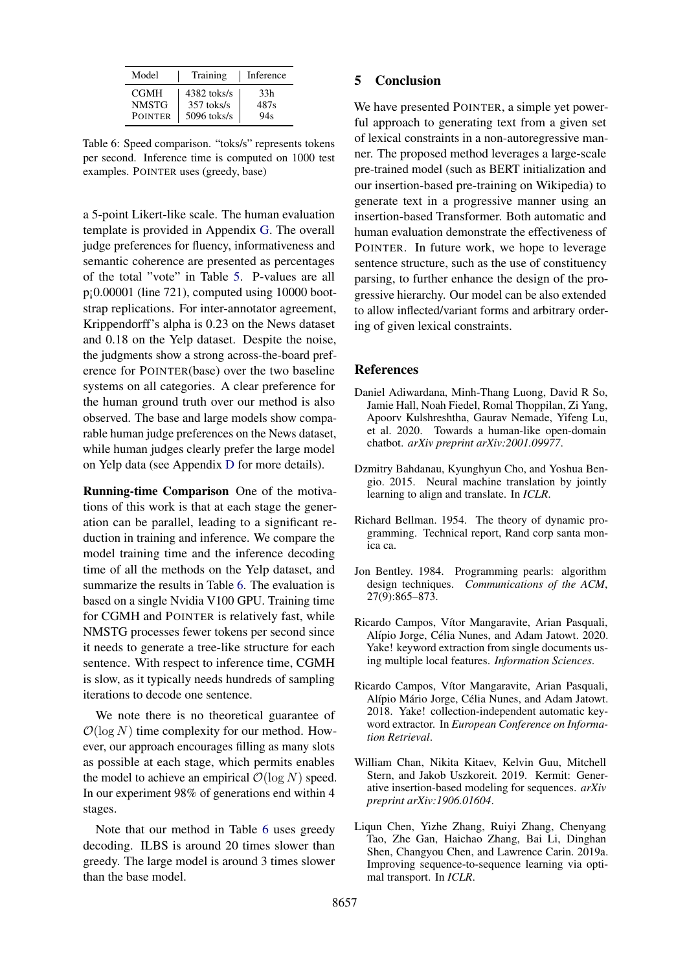<span id="page-8-8"></span>

| Model          | Training     | Inference |  |  |
|----------------|--------------|-----------|--|--|
| <b>CGMH</b>    | 4382 toks/s  | 33h       |  |  |
| <b>NMSTG</b>   | $357$ toks/s | 487s      |  |  |
| <b>POINTER</b> | 5096 toks/s  | 94s       |  |  |

Table 6: Speed comparison. "toks/s" represents tokens per second. Inference time is computed on 1000 test examples. POINTER uses (greedy, base)

a 5-point Likert-like scale. The human evaluation template is provided in Appendix [G.](#page-20-0) The overall judge preferences for fluency, informativeness and semantic coherence are presented as percentages of the total "vote" in Table [5.](#page-7-0) P-values are all  $p<sub>i</sub>0.00001$  (line 721), computed using 10000 bootstrap replications. For inter-annotator agreement, Krippendorff's alpha is 0.23 on the News dataset and 0.18 on the Yelp dataset. Despite the noise, the judgments show a strong across-the-board preference for POINTER(base) over the two baseline systems on all categories. A clear preference for the human ground truth over our method is also observed. The base and large models show comparable human judge preferences on the News dataset, while human judges clearly prefer the large model on Yelp data (see Appendix [D](#page-18-0) for more details).

Running-time Comparison One of the motivations of this work is that at each stage the generation can be parallel, leading to a significant reduction in training and inference. We compare the model training time and the inference decoding time of all the methods on the Yelp dataset, and summarize the results in Table [6.](#page-8-8) The evaluation is based on a single Nvidia V100 GPU. Training time for CGMH and POINTER is relatively fast, while NMSTG processes fewer tokens per second since it needs to generate a tree-like structure for each sentence. With respect to inference time, CGMH is slow, as it typically needs hundreds of sampling iterations to decode one sentence.

We note there is no theoretical guarantee of  $\mathcal{O}(\log N)$  time complexity for our method. However, our approach encourages filling as many slots as possible at each stage, which permits enables the model to achieve an empirical  $\mathcal{O}(\log N)$  speed. In our experiment 98% of generations end within 4 stages.

Note that our method in Table [6](#page-8-8) uses greedy decoding. ILBS is around 20 times slower than greedy. The large model is around 3 times slower than the base model.

### 5 Conclusion

We have presented POINTER, a simple yet powerful approach to generating text from a given set of lexical constraints in a non-autoregressive manner. The proposed method leverages a large-scale pre-trained model (such as BERT initialization and our insertion-based pre-training on Wikipedia) to generate text in a progressive manner using an insertion-based Transformer. Both automatic and human evaluation demonstrate the effectiveness of POINTER. In future work, we hope to leverage sentence structure, such as the use of constituency parsing, to further enhance the design of the progressive hierarchy. Our model can be also extended to allow inflected/variant forms and arbitrary ordering of given lexical constraints.

#### References

- <span id="page-8-2"></span>Daniel Adiwardana, Minh-Thang Luong, David R So, Jamie Hall, Noah Fiedel, Romal Thoppilan, Zi Yang, Apoorv Kulshreshtha, Gaurav Nemade, Yifeng Lu, et al. 2020. Towards a human-like open-domain chatbot. *arXiv preprint arXiv:2001.09977*.
- <span id="page-8-0"></span>Dzmitry Bahdanau, Kyunghyun Cho, and Yoshua Bengio. 2015. Neural machine translation by jointly learning to align and translate. In *ICLR*.
- <span id="page-8-7"></span>Richard Bellman. 1954. The theory of dynamic programming. Technical report, Rand corp santa monica ca.
- <span id="page-8-6"></span>Jon Bentley. 1984. Programming pearls: algorithm design techniques. *Communications of the ACM*, 27(9):865–873.
- <span id="page-8-5"></span>Ricardo Campos, Vítor Mangaravite, Arian Pasquali, Alípio Jorge, Célia Nunes, and Adam Jatowt. 2020. Yake! keyword extraction from single documents using multiple local features. *Information Sciences*.
- <span id="page-8-4"></span>Ricardo Campos, Vítor Mangaravite, Arian Pasquali, Alípio Mário Jorge, Célia Nunes, and Adam Jatowt. 2018. Yake! collection-independent automatic keyword extractor. In *European Conference on Information Retrieval*.
- <span id="page-8-3"></span>William Chan, Nikita Kitaev, Kelvin Guu, Mitchell Stern, and Jakob Uszkoreit. 2019. Kermit: Generative insertion-based modeling for sequences. *arXiv preprint arXiv:1906.01604*.
- <span id="page-8-1"></span>Liqun Chen, Yizhe Zhang, Ruiyi Zhang, Chenyang Tao, Zhe Gan, Haichao Zhang, Bai Li, Dinghan Shen, Changyou Chen, and Lawrence Carin. 2019a. Improving sequence-to-sequence learning via optimal transport. In *ICLR*.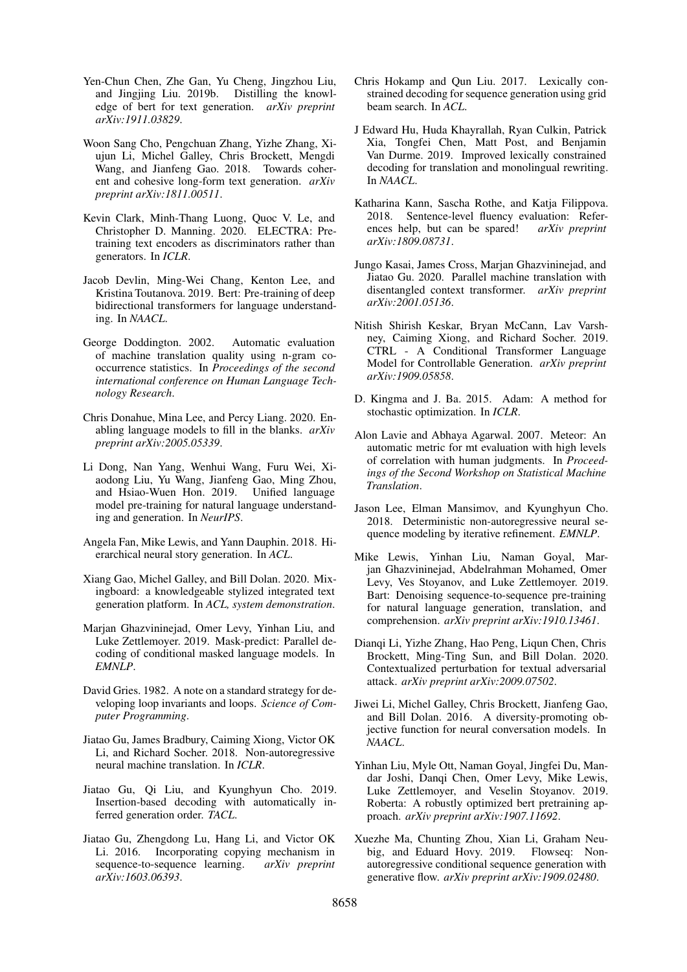- <span id="page-9-11"></span>Yen-Chun Chen, Zhe Gan, Yu Cheng, Jingzhou Liu, and Jingjing Liu. 2019b. Distilling the knowledge of bert for text generation. *arXiv preprint arXiv:1911.03829*.
- <span id="page-9-20"></span>Woon Sang Cho, Pengchuan Zhang, Yizhe Zhang, Xiujun Li, Michel Galley, Chris Brockett, Mengdi Wang, and Jianfeng Gao. 2018. Towards coherent and cohesive long-form text generation. *arXiv preprint arXiv:1811.00511*.
- <span id="page-9-7"></span>Kevin Clark, Minh-Thang Luong, Quoc V. Le, and Christopher D. Manning. 2020. ELECTRA: Pretraining text encoders as discriminators rather than generators. In *ICLR*.
- <span id="page-9-5"></span>Jacob Devlin, Ming-Wei Chang, Kenton Lee, and Kristina Toutanova. 2019. Bert: Pre-training of deep bidirectional transformers for language understanding. In *NAACL*.
- <span id="page-9-24"></span>George Doddington. 2002. Automatic evaluation of machine translation quality using n-gram cooccurrence statistics. In *Proceedings of the second international conference on Human Language Technology Research*.
- <span id="page-9-1"></span>Chris Donahue, Mina Lee, and Percy Liang. 2020. Enabling language models to fill in the blanks. *arXiv preprint arXiv:2005.05339*.
- <span id="page-9-9"></span>Li Dong, Nan Yang, Wenhui Wang, Furu Wei, Xiaodong Liu, Yu Wang, Jianfeng Gao, Ming Zhou, and Hsiao-Wuen Hon. 2019. Unified language model pre-training for natural language understanding and generation. In *NeurIPS*.
- <span id="page-9-0"></span>Angela Fan, Mike Lewis, and Yann Dauphin. 2018. Hierarchical neural story generation. In *ACL*.
- <span id="page-9-21"></span>Xiang Gao, Michel Galley, and Bill Dolan. 2020. Mixingboard: a knowledgeable stylized integrated text generation platform. In *ACL, system demonstration*.
- <span id="page-9-15"></span>Marjan Ghazvininejad, Omer Levy, Yinhan Liu, and Luke Zettlemoyer. 2019. Mask-predict: Parallel decoding of conditional masked language models. In *EMNLP*.
- <span id="page-9-19"></span>David Gries. 1982. A note on a standard strategy for developing loop invariants and loops. *Science of Computer Programming*.
- <span id="page-9-13"></span>Jiatao Gu, James Bradbury, Caiming Xiong, Victor OK Li, and Richard Socher. 2018. Non-autoregressive neural machine translation. In *ICLR*.
- <span id="page-9-18"></span>Jiatao Gu, Qi Liu, and Kyunghyun Cho. 2019. Insertion-based decoding with automatically inferred generation order. *TACL*.
- <span id="page-9-2"></span>Jiatao Gu, Zhengdong Lu, Hang Li, and Victor OK Li. 2016. Incorporating copying mechanism in sequence-to-sequence learning. *arXiv preprint arXiv:1603.06393*.
- <span id="page-9-3"></span>Chris Hokamp and Qun Liu. 2017. Lexically constrained decoding for sequence generation using grid beam search. In *ACL*.
- <span id="page-9-4"></span>J Edward Hu, Huda Khayrallah, Ryan Culkin, Patrick Xia, Tongfei Chen, Matt Post, and Benjamin Van Durme. 2019. Improved lexically constrained decoding for translation and monolingual rewriting. In *NAACL*.
- <span id="page-9-25"></span>Katharina Kann, Sascha Rothe, and Katja Filippova. 2018. Sentence-level fluency evaluation: References help, but can be spared! *arXiv preprint arXiv:1809.08731*.
- <span id="page-9-17"></span>Jungo Kasai, James Cross, Marjan Ghazvininejad, and Jiatao Gu. 2020. Parallel machine translation with disentangled context transformer. *arXiv preprint arXiv:2001.05136*.
- <span id="page-9-10"></span>Nitish Shirish Keskar, Bryan McCann, Lav Varshney, Caiming Xiong, and Richard Socher. 2019. CTRL - A Conditional Transformer Language Model for Controllable Generation. *arXiv preprint arXiv:1909.05858*.
- <span id="page-9-22"></span>D. Kingma and J. Ba. 2015. Adam: A method for stochastic optimization. In *ICLR*.
- <span id="page-9-23"></span>Alon Lavie and Abhaya Agarwal. 2007. Meteor: An automatic metric for mt evaluation with high levels of correlation with human judgments. In *Proceedings of the Second Workshop on Statistical Machine Translation*.
- <span id="page-9-14"></span>Jason Lee, Elman Mansimov, and Kyunghyun Cho. 2018. Deterministic non-autoregressive neural sequence modeling by iterative refinement. *EMNLP*.
- <span id="page-9-8"></span>Mike Lewis, Yinhan Liu, Naman Goyal, Marjan Ghazvininejad, Abdelrahman Mohamed, Omer Levy, Ves Stoyanov, and Luke Zettlemoyer. 2019. Bart: Denoising sequence-to-sequence pre-training for natural language generation, translation, and comprehension. *arXiv preprint arXiv:1910.13461*.
- <span id="page-9-12"></span>Dianqi Li, Yizhe Zhang, Hao Peng, Liqun Chen, Chris Brockett, Ming-Ting Sun, and Bill Dolan. 2020. Contextualized perturbation for textual adversarial attack. *arXiv preprint arXiv:2009.07502*.
- <span id="page-9-26"></span>Jiwei Li, Michel Galley, Chris Brockett, Jianfeng Gao, and Bill Dolan. 2016. A diversity-promoting objective function for neural conversation models. In *NAACL*.
- <span id="page-9-6"></span>Yinhan Liu, Myle Ott, Naman Goyal, Jingfei Du, Mandar Joshi, Danqi Chen, Omer Levy, Mike Lewis, Luke Zettlemoyer, and Veselin Stoyanov. 2019. Roberta: A robustly optimized bert pretraining approach. *arXiv preprint arXiv:1907.11692*.
- <span id="page-9-16"></span>Xuezhe Ma, Chunting Zhou, Xian Li, Graham Neubig, and Eduard Hovy. 2019. Flowseq: Nonautoregressive conditional sequence generation with generative flow. *arXiv preprint arXiv:1909.02480*.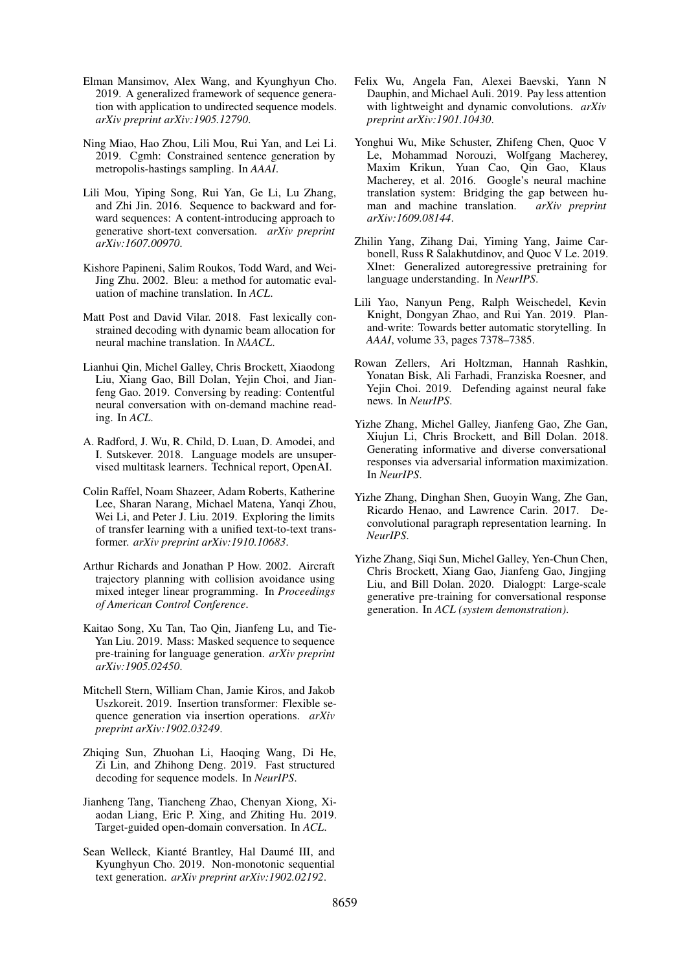- <span id="page-10-13"></span>Elman Mansimov, Alex Wang, and Kyunghyun Cho. 2019. A generalized framework of sequence generation with application to undirected sequence models. *arXiv preprint arXiv:1905.12790*.
- <span id="page-10-5"></span>Ning Miao, Hao Zhou, Lili Mou, Rui Yan, and Lei Li. 2019. Cgmh: Constrained sentence generation by metropolis-hastings sampling. In *AAAI*.
- <span id="page-10-0"></span>Lili Mou, Yiping Song, Rui Yan, Ge Li, Lu Zhang, and Zhi Jin. 2016. Sequence to backward and forward sequences: A content-introducing approach to generative short-text conversation. *arXiv preprint arXiv:1607.00970*.
- <span id="page-10-19"></span>Kishore Papineni, Salim Roukos, Todd Ward, and Wei-Jing Zhu. 2002. Bleu: a method for automatic evaluation of machine translation. In *ACL*.
- <span id="page-10-4"></span>Matt Post and David Vilar. 2018. Fast lexically constrained decoding with dynamic beam allocation for neural machine translation. In *NAACL*.
- <span id="page-10-2"></span>Lianhui Qin, Michel Galley, Chris Brockett, Xiaodong Liu, Xiang Gao, Bill Dolan, Yejin Choi, and Jianfeng Gao. 2019. Conversing by reading: Contentful neural conversation with on-demand machine reading. In *ACL*.
- <span id="page-10-9"></span>A. Radford, J. Wu, R. Child, D. Luan, D. Amodei, and I. Sutskever. 2018. Language models are unsupervised multitask learners. Technical report, OpenAI.
- <span id="page-10-8"></span>Colin Raffel, Noam Shazeer, Adam Roberts, Katherine Lee, Sharan Narang, Michael Matena, Yanqi Zhou, Wei Li, and Peter J. Liu. 2019. Exploring the limits of transfer learning with a unified text-to-text transformer. *arXiv preprint arXiv:1910.10683*.
- <span id="page-10-18"></span>Arthur Richards and Jonathan P How. 2002. Aircraft trajectory planning with collision avoidance using mixed integer linear programming. In *Proceedings of American Control Conference*.
- <span id="page-10-10"></span>Kaitao Song, Xu Tan, Tao Qin, Jianfeng Lu, and Tie-Yan Liu. 2019. Mass: Masked sequence to sequence pre-training for language generation. *arXiv preprint arXiv:1905.02450*.
- <span id="page-10-17"></span>Mitchell Stern, William Chan, Jamie Kiros, and Jakob Uszkoreit. 2019. Insertion transformer: Flexible sequence generation via insertion operations. *arXiv preprint arXiv:1902.03249*.
- <span id="page-10-14"></span>Zhiqing Sun, Zhuohan Li, Haoqing Wang, Di He, Zi Lin, and Zhihong Deng. 2019. Fast structured decoding for sequence models. In *NeurIPS*.
- <span id="page-10-3"></span>Jianheng Tang, Tiancheng Zhao, Chenyan Xiong, Xiaodan Liang, Eric P. Xing, and Zhiting Hu. 2019. Target-guided open-domain conversation. In *ACL*.
- <span id="page-10-6"></span>Sean Welleck, Kianté Brantley, Hal Daumé III, and Kyunghyun Cho. 2019. Non-monotonic sequential text generation. *arXiv preprint arXiv:1902.02192*.
- <span id="page-10-16"></span>Felix Wu, Angela Fan, Alexei Baevski, Yann N Dauphin, and Michael Auli. 2019. Pay less attention with lightweight and dynamic convolutions. *arXiv preprint arXiv:1901.10430*.
- <span id="page-10-21"></span>Yonghui Wu, Mike Schuster, Zhifeng Chen, Quoc V Le, Mohammad Norouzi, Wolfgang Macherey, Maxim Krikun, Yuan Cao, Qin Gao, Klaus Macherey, et al. 2016. Google's neural machine translation system: Bridging the gap between human and machine translation. *arXiv preprint arXiv:1609.08144*.
- <span id="page-10-7"></span>Zhilin Yang, Zihang Dai, Yiming Yang, Jaime Carbonell, Russ R Salakhutdinov, and Quoc V Le. 2019. Xlnet: Generalized autoregressive pretraining for language understanding. In *NeurIPS*.
- <span id="page-10-1"></span>Lili Yao, Nanyun Peng, Ralph Weischedel, Kevin Knight, Dongyan Zhao, and Rui Yan. 2019. Planand-write: Towards better automatic storytelling. In *AAAI*, volume 33, pages 7378–7385.
- <span id="page-10-12"></span>Rowan Zellers, Ari Holtzman, Hannah Rashkin, Yonatan Bisk, Ali Farhadi, Franziska Roesner, and Yejin Choi. 2019. Defending against neural fake news. In *NeurIPS*.
- <span id="page-10-20"></span>Yizhe Zhang, Michel Galley, Jianfeng Gao, Zhe Gan, Xiujun Li, Chris Brockett, and Bill Dolan. 2018. Generating informative and diverse conversational responses via adversarial information maximization. In *NeurIPS*.
- <span id="page-10-15"></span>Yizhe Zhang, Dinghan Shen, Guoyin Wang, Zhe Gan, Ricardo Henao, and Lawrence Carin. 2017. Deconvolutional paragraph representation learning. In *NeurIPS*.
- <span id="page-10-11"></span>Yizhe Zhang, Siqi Sun, Michel Galley, Yen-Chun Chen, Chris Brockett, Xiang Gao, Jianfeng Gao, Jingjing Liu, and Bill Dolan. 2020. Dialogpt: Large-scale generative pre-training for conversational response generation. In *ACL (system demonstration)*.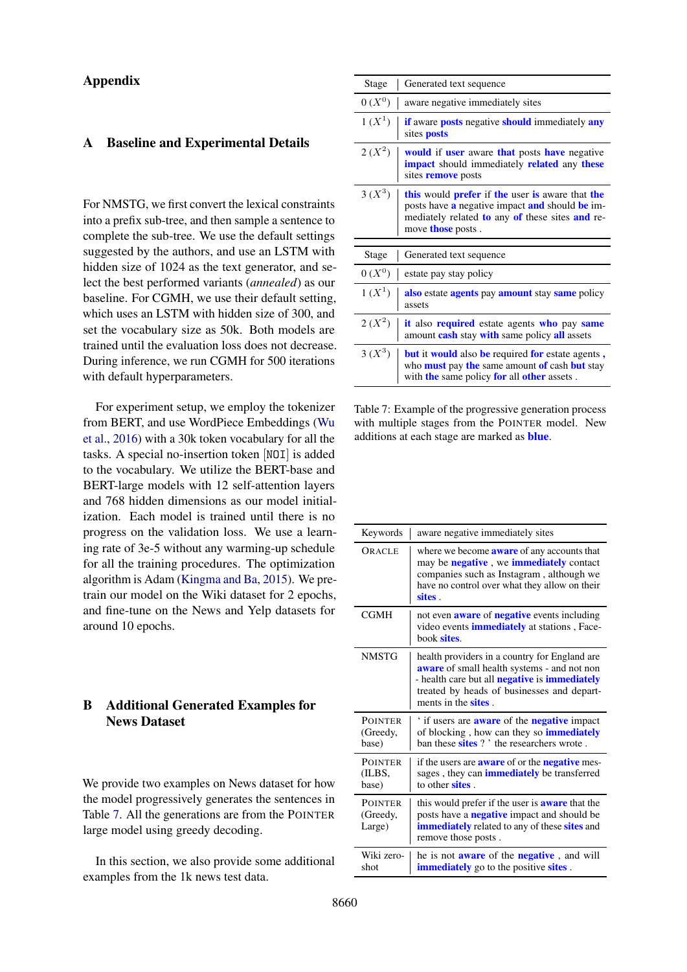## Appendix

#### A Baseline and Experimental Details

For NMSTG, we first convert the lexical constraints into a prefix sub-tree, and then sample a sentence to complete the sub-tree. We use the default settings suggested by the authors, and use an LSTM with hidden size of 1024 as the text generator, and select the best performed variants (*annealed*) as our baseline. For CGMH, we use their default setting, which uses an LSTM with hidden size of 300, and set the vocabulary size as 50k. Both models are trained until the evaluation loss does not decrease. During inference, we run CGMH for 500 iterations with default hyperparameters.

For experiment setup, we employ the tokenizer from BERT, and use WordPiece Embeddings [\(Wu](#page-10-21) [et al.,](#page-10-21) [2016\)](#page-10-21) with a 30k token vocabulary for all the tasks. A special no-insertion token [NOI] is added to the vocabulary. We utilize the BERT-base and BERT-large models with 12 self-attention layers and 768 hidden dimensions as our model initialization. Each model is trained until there is no progress on the validation loss. We use a learning rate of 3e-5 without any warming-up schedule for all the training procedures. The optimization algorithm is Adam [\(Kingma and Ba,](#page-9-22) [2015\)](#page-9-22). We pretrain our model on the Wiki dataset for 2 epochs, and fine-tune on the News and Yelp datasets for around 10 epochs.

## <span id="page-11-0"></span>B Additional Generated Examples for News Dataset

We provide two examples on News dataset for how the model progressively generates the sentences in Table [7.](#page-11-1) All the generations are from the POINTER large model using greedy decoding.

In this section, we also provide some additional examples from the 1k news test data.

<span id="page-11-1"></span>

| Stage    | Generated text sequence                                                                                                                                                                 |
|----------|-----------------------------------------------------------------------------------------------------------------------------------------------------------------------------------------|
| $0(X^0)$ | aware negative immediately sites                                                                                                                                                        |
| $1(X^1)$ | <b>if</b> aware <b>posts</b> negative <b>should</b> immediately <b>any</b><br>sites <b>posts</b>                                                                                        |
| $2(X^2)$ | would if user aware that posts have negative<br><b>impact</b> should immediately <b>related</b> any these<br>sites <b>remove</b> posts                                                  |
| $3(X^3)$ | this would <b>prefer</b> if the user is aware that the<br>posts have a negative impact and should be im-<br>mediately related to any of these sites and re-<br>move <b>those</b> posts. |
|          |                                                                                                                                                                                         |
|          |                                                                                                                                                                                         |
| Stage    | Generated text sequence                                                                                                                                                                 |
| $0(X^0)$ | estate pay stay policy                                                                                                                                                                  |
| $1(X^1)$ | also estate <b>agents</b> pay <b>amount</b> stay <b>same</b> policy<br>assets                                                                                                           |
| $2(X^2)$ | it also required estate agents who pay same<br>amount cash stay with same policy all assets                                                                                             |

Table 7: Example of the progressive generation process with multiple stages from the POINTER model. New additions at each stage are marked as blue.

| Keywords                             | aware negative immediately sites                                                                                                                                                                                                                |
|--------------------------------------|-------------------------------------------------------------------------------------------------------------------------------------------------------------------------------------------------------------------------------------------------|
| ORACLE                               | where we become <b>aware</b> of any accounts that<br>may be <b>negative</b> , we <b>immediately</b> contact<br>companies such as Instagram, although we<br>have no control over what they allow on their<br>sites .                             |
| CGMH                                 | not even <b>aware</b> of <b>negative</b> events including<br>video events <i>immediately</i> at stations, Face-<br>book sites                                                                                                                   |
| <b>NMSTG</b>                         | health providers in a country for England are<br><b>aware</b> of small health systems - and not non<br>- health care but all <b>negative</b> is <b>immediately</b><br>treated by heads of businesses and depart-<br>ments in the <b>sites</b> . |
| <b>POINTER</b><br>(Greedy,<br>base)  | if users are <b>aware</b> of the <b>negative</b> impact<br>of blocking, how can they so <i>immediately</i><br>ban these <b>sites</b> ? ' the researchers wrote.                                                                                 |
| <b>POINTER</b><br>(ILBS,<br>base)    | if the users are <b>aware</b> of or the <b>negative</b> mes-<br>sages, they can <b>immediately</b> be transferred<br>to other <b>sites</b> .                                                                                                    |
| <b>POINTER</b><br>(Greedy,<br>Large) | this would prefer if the user is <b>aware</b> that the<br>posts have a <b>negative</b> impact and should be<br>immediately related to any of these sites and<br>remove those posts.                                                             |
| Wiki zero-<br>shot                   | he is not <b>aware</b> of the <b>negative</b> , and will<br><b>immediately</b> go to the positive <b>sites</b> .                                                                                                                                |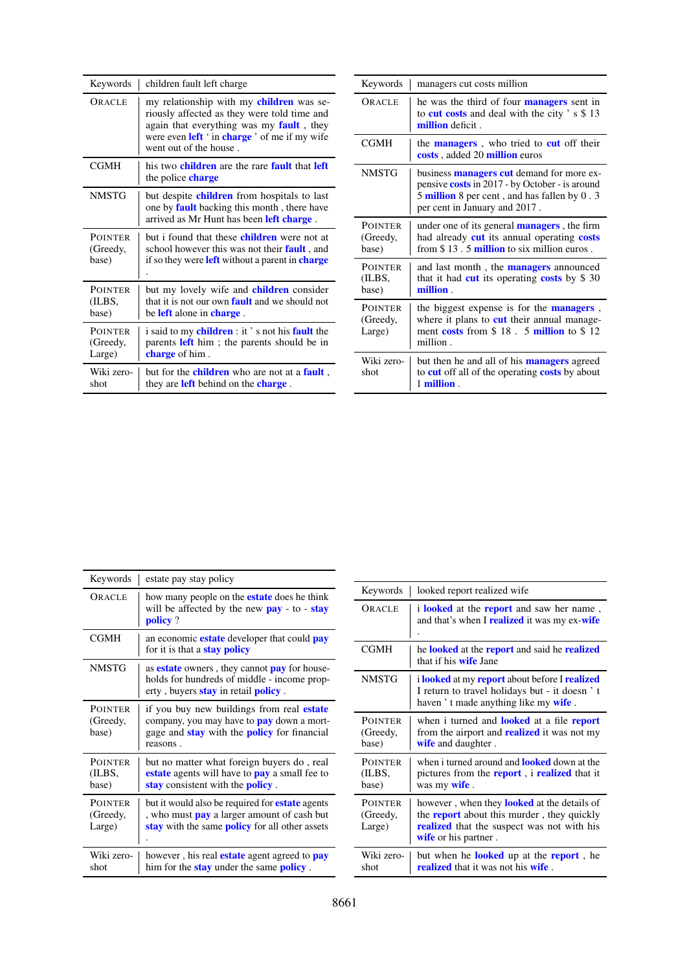|                   | Keywords                   | children fault left charge                                                                                                                  | Keywords                   | managers cut costs million                                                                                                              |  |  |
|-------------------|----------------------------|---------------------------------------------------------------------------------------------------------------------------------------------|----------------------------|-----------------------------------------------------------------------------------------------------------------------------------------|--|--|
|                   | ORACLE                     | my relationship with my children was se-<br>riously affected as they were told time and<br>again that everything was my <b>fault</b> , they | ORACLE                     | he was the third of four <b>managers</b> sent in<br>to <b>cut costs</b> and deal with the city $\degree$ s $\$\ 13$<br>million deficit. |  |  |
|                   |                            | were even <b>left</b> ' in <b>charge</b> ' of me if my wife<br>went out of the house.                                                       | <b>CGMH</b>                | the <b>managers</b> , who tried to <b>cut</b> off their<br>costs, added 20 million euros                                                |  |  |
|                   | <b>CGMH</b>                | his two children are the rare fault that left<br>the police <b>charge</b>                                                                   | <b>NMSTG</b>               | business <b>managers cut</b> demand for more ex-<br>pensive <b>costs</b> in 2017 - by October - is around                               |  |  |
|                   | <b>NMSTG</b>               | but despite <b>children</b> from hospitals to last<br>one by <b>fault</b> backing this month, there have                                    |                            | 5 million 8 per cent, and has fallen by 0.3<br>per cent in January and 2017.                                                            |  |  |
|                   | <b>POINTER</b>             | arrived as Mr Hunt has been left charge.<br>but i found that these <b>children</b> were not at                                              | <b>POINTER</b><br>(Greedy, | under one of its general <b>managers</b> , the firm<br>had already cut its annual operating costs                                       |  |  |
| (Greedy,<br>base) |                            | school however this was not their <b>fault</b> , and<br>if so they were <b>left</b> without a parent in <b>charge</b>                       | base)                      | from $$13.5$ million to six million euros.                                                                                              |  |  |
|                   |                            |                                                                                                                                             | <b>POINTER</b><br>(ILBS,   | and last month, the <b>managers</b> announced<br>that it had cut its operating costs by $$30$                                           |  |  |
|                   | <b>POINTER</b>             | but my lovely wife and <b>children</b> consider                                                                                             | base)                      | million.                                                                                                                                |  |  |
|                   | (ILBS,<br>base)            | that it is not our own <b>fault</b> and we should not<br>be <b>left</b> alone in <b>charge</b> .                                            | <b>POINTER</b><br>(Greedy, | the biggest expense is for the <b>managers</b> ,<br>where it plans to cut their annual manage-                                          |  |  |
|                   | <b>POINTER</b><br>(Greedy, | i said to my children : it's not his fault the<br>parents left him; the parents should be in                                                | Large)                     | ment costs from $$18.5$ million to $$12$<br>million.                                                                                    |  |  |
|                   | Large)                     | charge of him.                                                                                                                              | Wiki zero-                 | but then he and all of his <b>managers</b> agreed                                                                                       |  |  |
|                   | Wiki zero-<br>shot         | but for the <b>children</b> who are not at a <b>fault</b> ,<br>they are <b>left</b> behind on the <b>charge</b> .                           | shot                       | to <b>cut</b> off all of the operating <b>costs</b> by about<br>1 million.                                                              |  |  |
|                   |                            |                                                                                                                                             |                            |                                                                                                                                         |  |  |

| Keywords                             | estate pay stay policy                                                                                                                                                        |
|--------------------------------------|-------------------------------------------------------------------------------------------------------------------------------------------------------------------------------|
| ORACLE                               | how many people on the <b>estate</b> does he think<br>will be affected by the new $\frac{pay}{pay}$ - to - stay<br>policy?                                                    |
| <b>CGMH</b>                          | an economic <b>estate</b> developer that could <b>pay</b><br>for it is that a <b>stay policy</b>                                                                              |
| <b>NMSTG</b>                         | as <b>estate</b> owners, they cannot <b>pay</b> for house-<br>holds for hundreds of middle - income prop-<br>erty, buyers <b>stay</b> in retail <b>policy</b> .               |
| <b>POINTER</b><br>(Greedy,<br>base)  | if you buy new buildings from real <b>estate</b><br>company, you may have to <b>pay</b> down a mort-<br>gage and <b>stay</b> with the <b>policy</b> for financial<br>reasons. |
| <b>POINTER</b><br>(ILBS,<br>base)    | but no matter what foreign buyers do, real<br><b>estate</b> agents will have to <b>pay</b> a small fee to<br>stay consistent with the <b>policy</b> .                         |
| <b>POINTER</b><br>(Greedy,<br>Large) | but it would also be required for <b>estate</b> agents<br>, who must <b>pay</b> a larger amount of cash but<br>stay with the same <b>policy</b> for all other assets          |
| Wiki zero-<br>shot                   | however, his real <b>estate</b> agent agreed to <b>pay</b><br>him for the <b>stay</b> under the same <b>policy</b> .                                                          |

| Keywords                             | looked report realized wife                                                                                                                                                                 |
|--------------------------------------|---------------------------------------------------------------------------------------------------------------------------------------------------------------------------------------------|
| ORACLE                               | <i>i</i> <b>looked</b> at the <b>report</b> and saw her name,<br>and that's when I <b>realized</b> it was my ex-wife                                                                        |
| CGMH                                 | he <b>looked</b> at the <b>report</b> and said he <b>realized</b><br>that if his <b>wife</b> Jane                                                                                           |
| <b>NMSTG</b>                         | i looked at my report about before I realized<br>I return to travel holidays but - it doesn't<br>haven 't made anything like my wife.                                                       |
| <b>POINTER</b><br>(Greedy,<br>base)  | when i turned and <b>looked</b> at a file <b>report</b><br>from the airport and <b>realized</b> it was not my<br>wife and daughter.                                                         |
| <b>POINTER</b><br>(ILBS,<br>base)    | when i turned around and <b>looked</b> down at the<br>pictures from the <b>report</b> , i <b>realized</b> that it<br>was my <b>wife</b> .                                                   |
| <b>POINTER</b><br>(Greedy,<br>Large) | however, when they <b>looked</b> at the details of<br>the <b>report</b> about this murder, they quickly<br><b>realized</b> that the suspect was not with his<br><b>wife</b> or his partner. |
| Wiki zero-<br>shot                   | but when he <b>looked</b> up at the <b>report</b> , he<br><b>realized</b> that it was not his <b>wife</b> .                                                                                 |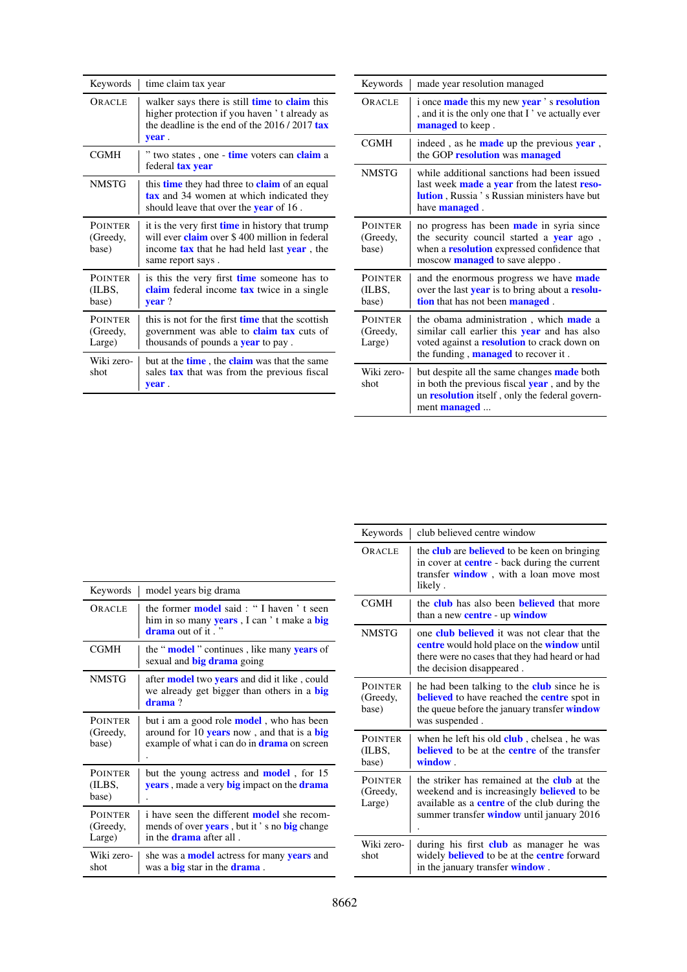| Keywords                             | time claim tax year                                                                                                                                                                       |
|--------------------------------------|-------------------------------------------------------------------------------------------------------------------------------------------------------------------------------------------|
| OR ACLE                              | walker says there is still <b>time</b> to <b>claim</b> this<br>higher protection if you haven't already as<br>the deadline is the end of the $2016/2017$ tax<br>year.                     |
| <b>CGMH</b>                          | " two states, one - <b>time</b> voters can <b>claim</b> a<br>federal <b>tax year</b>                                                                                                      |
| <b>NMSTG</b>                         | this <b>time</b> they had three to <b>claim</b> of an equal<br><b>tax</b> and 34 women at which indicated they<br>should leave that over the <b>year</b> of 16.                           |
| <b>POINTER</b><br>(Greedy,<br>base)  | it is the very first time in history that trump<br>will ever <b>claim</b> over \$400 million in federal<br>income <b>tax</b> that he had held last <b>year</b> , the<br>same report says. |
| <b>POINTER</b><br>(ILBS,<br>base)    | is this the very first <b>time</b> someone has to<br>claim federal income tax twice in a single<br>$year$ ?                                                                               |
| <b>POINTER</b><br>(Greedy,<br>Large) | this is not for the first <b>time</b> that the scottish<br>government was able to <b>claim tax</b> cuts of<br>thousands of pounds a <b>year</b> to pay.                                   |
| Wiki zero-<br>shot                   | but at the <b>time</b> , the <b>claim</b> was that the same<br>sales <b>tax</b> that was from the previous fiscal<br>year.                                                                |

| Keywords                             | made year resolution managed                                                                                                                                                                            |
|--------------------------------------|---------------------------------------------------------------------------------------------------------------------------------------------------------------------------------------------------------|
| ORACLE                               | i once <b>made</b> this my new year's resolution<br>, and it is the only one that I've actually ever<br>managed to keep.                                                                                |
| CGMH                                 | indeed, as he <b>made</b> up the previous <b>year</b> ,<br>the GOP resolution was managed                                                                                                               |
| <b>NMSTG</b>                         | while additional sanctions had been issued<br>last week made a year from the latest reso-<br><b>lution</b> , Russia 's Russian ministers have but<br>have <b>managed</b> .                              |
| <b>POINTER</b><br>(Greedy,<br>base)  | no progress has been made in syria since<br>the security council started a <b>year</b> ago,<br>when a <b>resolution</b> expressed confidence that<br>moscow <b>managed</b> to save aleppo.              |
| <b>POINTER</b><br>(ILBS,<br>base)    | and the enormous progress we have <b>made</b><br>over the last <b>year</b> is to bring about a <b>resolu-</b><br>tion that has not been managed.                                                        |
| <b>POINTER</b><br>(Greedy,<br>Large) | the obama administration, which <b>made</b> a<br>similar call earlier this <b>year</b> and has also<br>voted against a <b>resolution</b> to crack down on<br>the funding, <b>managed</b> to recover it. |
| Wiki zero-<br>shot                   | but despite all the same changes made both<br>in both the previous fiscal <b>year</b> , and by the<br>un <b>resolution</b> itself, only the federal govern-<br>ment <b>managed</b>                      |

| Keywords                             | model years big drama                                                                                                                                |
|--------------------------------------|------------------------------------------------------------------------------------------------------------------------------------------------------|
| ORACLE                               | the former <b>model</b> said: "I haven't seen<br>him in so many <b>years</b> , I can't make a <b>big</b><br><b>drama</b> out of it."                 |
| <b>CGMH</b>                          | the " <b>model</b> " continues, like many <b>years</b> of<br>sexual and <b>big drama</b> going                                                       |
| <b>NMSTG</b>                         | after <b>model</b> two <b>years</b> and did it like, could<br>we already get bigger than others in a big<br>drama?                                   |
| <b>POINTER</b><br>(Greedy,<br>base)  | but i am a good role <b>model</b> , who has been<br>around for 10 years now, and that is a big<br>example of what i can do in <b>drama</b> on screen |
| <b>POINTER</b><br>(ILBS,<br>base)    | but the young actress and <b>model</b> , for 15<br><b>years</b> , made a very <b>big</b> impact on the <b>drama</b>                                  |
| <b>POINTER</b><br>(Greedy,<br>Large) | i have seen the different <b>model</b> she recom-<br>mends of over years, but it's no big change<br>in the <b>drama</b> after all.                   |
| Wiki zero-<br>shot                   | she was a <b>model</b> actress for many <b>years</b> and<br>was a <b>big</b> star in the <b>drama</b> .                                              |

| Keywords                             | club believed centre window                                                                                                                                                                                 |
|--------------------------------------|-------------------------------------------------------------------------------------------------------------------------------------------------------------------------------------------------------------|
| ORACLE                               | the <b>club</b> are <b>believed</b> to be keen on bringing<br>in cover at <b>centre</b> - back during the current<br>transfer <b>window</b> , with a loan move most<br>likely.                              |
| <b>CGMH</b>                          | the <b>club</b> has also been <b>believed</b> that more<br>than a new centre - up window                                                                                                                    |
| <b>NMSTG</b>                         | one <b>club believed</b> it was not clear that the<br><b>centre</b> would hold place on the <b>window</b> until<br>there were no cases that they had heard or had<br>the decision disappeared.              |
| <b>POINTER</b><br>(Greedy,<br>base)  | he had been talking to the <b>club</b> since he is<br><b>believed</b> to have reached the <b>centre</b> spot in<br>the queue before the january transfer window<br>was suspended.                           |
| <b>POINTER</b><br>(ILBS,<br>base)    | when he left his old <b>club</b> , chelsea, he was<br><b>believed</b> to be at the <b>centre</b> of the transfer<br>window.                                                                                 |
| <b>POINTER</b><br>(Greedy,<br>Large) | the striker has remained at the <b>club</b> at the<br>weekend and is increasingly <b>believed</b> to be<br>available as a centre of the club during the<br>summer transfer <b>window</b> until january 2016 |
| Wiki zero-<br>shot                   | during his first <b>club</b> as manager he was<br>widely <b>believed</b> to be at the <b>centre</b> forward<br>in the january transfer <b>window</b> .                                                      |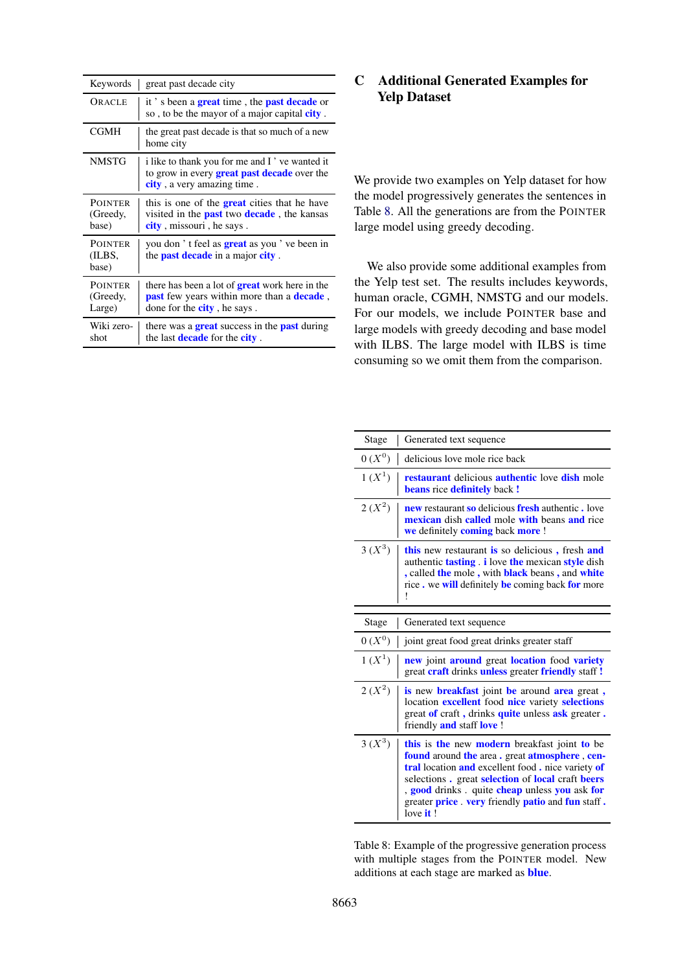| Keywords                             | great past decade city                                                                                                                       |
|--------------------------------------|----------------------------------------------------------------------------------------------------------------------------------------------|
| ORACLE                               | it's been a <b>great</b> time, the <b>past decade</b> or<br>so, to be the mayor of a major capital <b>city</b> .                             |
| <b>CGMH</b>                          | the great past decade is that so much of a new<br>home city                                                                                  |
| <b>NMSTG</b>                         | i like to thank you for me and I've wanted it<br>to grow in every <b>great past decade</b> over the<br>city, a very amazing time.            |
| <b>POINTER</b><br>(Greedy,<br>base)  | this is one of the <b>great</b> cities that he have<br>visited in the <b>past</b> two <b>decade</b> , the kansas<br>city, missouri, he says. |
| <b>POINTER</b><br>(ILBS,<br>base)    | you don't feel as <b>great</b> as you've been in<br>the <b>past decade</b> in a major <b>city</b> .                                          |
| <b>POINTER</b><br>(Greedy,<br>Large) | there has been a lot of <b>great</b> work here in the<br>past few years within more than a decade,<br>done for the <b>city</b> , he says.    |
| Wiki zero-<br>shot                   | there was a <b>great</b> success in the <b>past</b> during<br>the last <b>decade</b> for the <b>city</b> .                                   |

## <span id="page-14-0"></span>C Additional Generated Examples for Yelp Dataset

We provide two examples on Yelp dataset for how the model progressively generates the sentences in Table [8.](#page-14-1) All the generations are from the POINTER large model using greedy decoding.

We also provide some additional examples from the Yelp test set. The results includes keywords, human oracle, CGMH, NMSTG and our models. For our models, we include POINTER base and large models with greedy decoding and base model with ILBS. The large model with ILBS is time consuming so we omit them from the comparison.

<span id="page-14-1"></span>

| Stage      | Generated text sequence                                                                                                                                                                                                                                                                                                                                                           |
|------------|-----------------------------------------------------------------------------------------------------------------------------------------------------------------------------------------------------------------------------------------------------------------------------------------------------------------------------------------------------------------------------------|
| $0(X^0)$   | delicious love mole rice back                                                                                                                                                                                                                                                                                                                                                     |
| $1(X^1)$   | <b>restaurant</b> delicious <b>authentic</b> love <b>dish</b> mole<br><b>beans</b> rice <b>definitely</b> back !                                                                                                                                                                                                                                                                  |
| $2(X^2)$   | <b>new</b> restaurant so delicious fresh authentic, love<br><b>mexican</b> dish <b>called</b> mole with beans and rice<br>we definitely coming back more !                                                                                                                                                                                                                        |
| $3(X^3)$   | this new restaurant is so delicious, fresh and<br>authentic <b>tasting</b> i love the mexican style dish<br>, called the mole, with black beans, and white<br>rice. we will definitely be coming back for more                                                                                                                                                                    |
|            |                                                                                                                                                                                                                                                                                                                                                                                   |
| Stage      | Generated text sequence                                                                                                                                                                                                                                                                                                                                                           |
| $0(X^0)$   | joint great food great drinks greater staff                                                                                                                                                                                                                                                                                                                                       |
| $1(X^{1})$ | new joint around great location food variety<br>great craft drinks unless greater friendly staff !                                                                                                                                                                                                                                                                                |
| $2(X^2)$   | <b>is</b> new <b>breakfast</b> joint <b>be</b> around <b>area</b> great,<br>location excellent food nice variety selections<br>great of craft, drinks quite unless ask greater.<br>friendly and staff love !                                                                                                                                                                      |
| $3(X^3)$   | this is the new modern breakfast joint to be<br>found around the area. great atmosphere, cen-<br>tral location and excellent food. nice variety of<br>selections. great <b>selection</b> of <b>local</b> craft <b>beers</b><br>, <b>good</b> drinks. quite <b>cheap</b> unless you ask for<br>greater <b>price</b> very friendly <b>patio</b> and <b>fun</b> staff.<br>love $it!$ |

Table 8: Example of the progressive generation process with multiple stages from the POINTER model. New additions at each stage are marked as blue.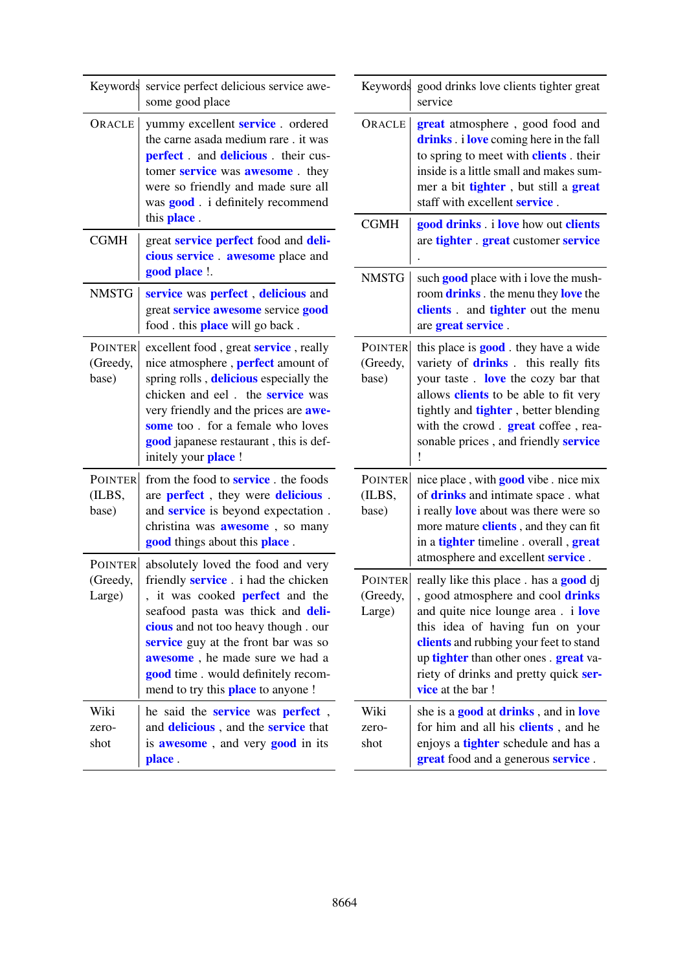| Keywords                             | service perfect delicious service awe-<br>some good place                                                                                                                                                                                                                                                                                                            |                               | Keywords good drinks love clients tighter great<br>service                                                                                                                                                                                                                                                                                       |  |  |
|--------------------------------------|----------------------------------------------------------------------------------------------------------------------------------------------------------------------------------------------------------------------------------------------------------------------------------------------------------------------------------------------------------------------|-------------------------------|--------------------------------------------------------------------------------------------------------------------------------------------------------------------------------------------------------------------------------------------------------------------------------------------------------------------------------------------------|--|--|
| ORACLE                               | yummy excellent <b>service</b> . ordered<br>the carne asada medium rare. it was<br>perfect. and delicious. their cus-<br>tomer service was awesome. they<br>were so friendly and made sure all<br>was <b>good</b> . i definitely recommend                                                                                                                           | ORACLE                        | great atmosphere, good food and<br>drinks . i love coming here in the fall<br>to spring to meet with <b>clients</b> . their<br>inside is a little small and makes sum-<br>mer a bit tighter, but still a great<br>staff with excellent service.                                                                                                  |  |  |
| <b>CGMH</b>                          | this place.<br>great service perfect food and deli-                                                                                                                                                                                                                                                                                                                  | <b>CGMH</b>                   | good drinks . i love how out clients<br>are tighter . great customer service                                                                                                                                                                                                                                                                     |  |  |
|                                      | cious service. awesome place and<br>good place !.                                                                                                                                                                                                                                                                                                                    | <b>NMSTG</b>                  |                                                                                                                                                                                                                                                                                                                                                  |  |  |
| <b>NMSTG</b>                         | service was perfect, delicious and<br>great service awesome service good<br>food . this <b>place</b> will go back.                                                                                                                                                                                                                                                   |                               | such <b>good</b> place with i love the mush-<br>room drinks . the menu they love the<br>clients. and tighter out the menu<br>are great service.                                                                                                                                                                                                  |  |  |
| <b>POINTER</b><br>(Greedy,<br>base)  | excellent food, great <b>service</b> , really<br>nice atmosphere, <b>perfect</b> amount of<br>spring rolls, delicious especially the<br>chicken and eel. the <b>service</b> was<br>very friendly and the prices are awe-<br>some too. for a female who loves<br>good japanese restaurant, this is def-<br>initely your place !                                       | POINTER<br>(Greedy,<br>base)  | this place is <b>good</b> . they have a wide<br>variety of <b>drinks</b> . this really fits<br>your taste. love the cozy bar that<br>allows <b>clients</b> to be able to fit very<br>tightly and <b>tighter</b> , better blending<br>with the crowd. great coffee, rea-<br>sonable prices, and friendly service                                  |  |  |
| <b>POINTER</b><br>(ILBS,<br>base)    | from the food to <b>service</b> . the foods<br>are <b>perfect</b> , they were <b>delicious</b> .<br>and <b>service</b> is beyond expectation.<br>christina was <b>awesome</b> , so many<br>good things about this place.                                                                                                                                             | POINTER<br>(ILBS,<br>base)    | nice place, with <b>good</b> vibe . nice mix<br>of drinks and intimate space . what<br>i really <b>love</b> about was there were so<br>more mature clients, and they can fit<br>in a <b>tighter</b> timeline . overall, <b>great</b>                                                                                                             |  |  |
| <b>POINTER</b><br>(Greedy,<br>Large) | absolutely loved the food and very<br>friendly <b>service</b> . i had the chicken<br>, it was cooked <b>perfect</b> and the<br>seafood pasta was thick and deli-<br>cious and not too heavy though. our<br>service guy at the front bar was so<br>awesome, he made sure we had a<br>good time . would definitely recom-<br>mend to try this <b>place</b> to anyone ! | POINTER<br>(Greedy,<br>Large) | atmosphere and excellent service.<br>really like this place . has a <b>good</b> dj<br>, good atmosphere and cool drinks<br>and quite nice lounge area. i love<br>this idea of having fun on your<br>clients and rubbing your feet to stand<br>up tighter than other ones. great va-<br>riety of drinks and pretty quick ser-<br>vice at the bar! |  |  |
| Wiki<br>zero-<br>shot                | he said the <b>service</b> was <b>perfect</b> ,<br>and <b>delicious</b> , and the <b>service</b> that<br>is <b>awesome</b> , and very <b>good</b> in its<br>place.                                                                                                                                                                                                   | Wiki<br>zero-<br>shot         | she is a <b>good</b> at <b>drinks</b> , and in <b>love</b><br>for him and all his <b>clients</b> , and he<br>enjoys a <b>tighter</b> schedule and has a<br>great food and a generous service.                                                                                                                                                    |  |  |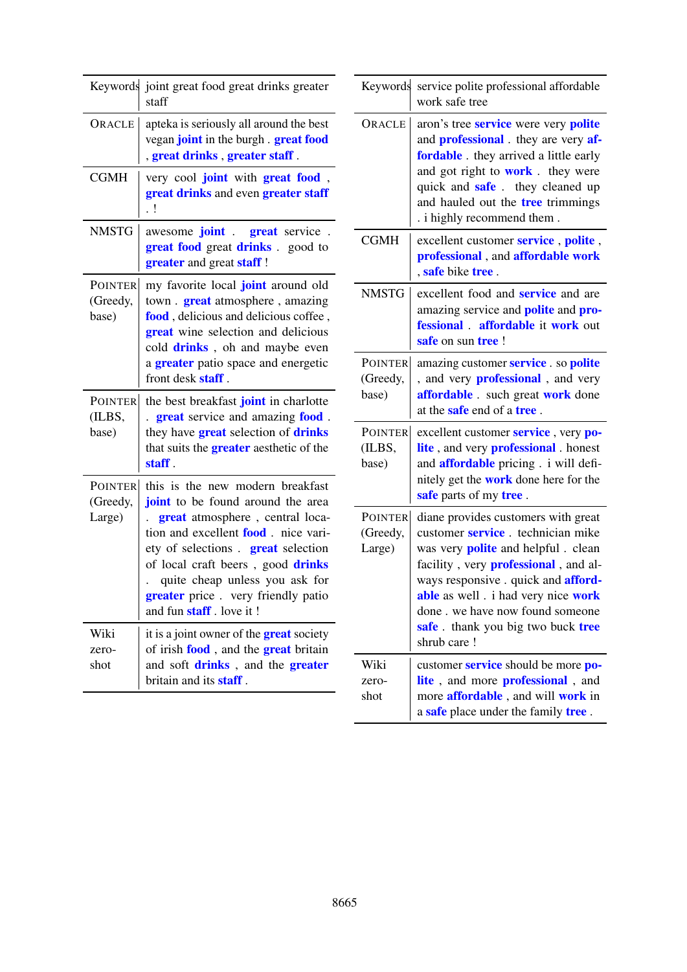|                                      | Keywords joint great food great drinks greater<br>staff                                                                                                                                                                                                                                                                                       |
|--------------------------------------|-----------------------------------------------------------------------------------------------------------------------------------------------------------------------------------------------------------------------------------------------------------------------------------------------------------------------------------------------|
| ORACLE                               | apteka is seriously all around the best<br>vegan joint in the burgh . great food<br>, great drinks, greater staff.                                                                                                                                                                                                                            |
| <b>CGMH</b>                          | very cool joint with great food,<br>great drinks and even greater staff<br>$\cdot$ !                                                                                                                                                                                                                                                          |
| <b>NMSTG</b>                         | awesome <b>joint</b> . great service.<br><b>great food</b> great <b>drinks</b> . good to<br>greater and great staff!                                                                                                                                                                                                                          |
| <b>POINTER</b><br>(Greedy,<br>base)  | my favorite local joint around old<br>town . <b>great</b> atmosphere, amazing<br>food, delicious and delicious coffee,<br><b>great</b> wine selection and delicious<br>cold drinks, oh and maybe even<br>a <b>greater</b> patio space and energetic<br>front desk <b>staff</b> .                                                              |
| <b>POINTER</b><br>(ILBS,<br>base)    | the best breakfast joint in charlotte<br>great service and amazing food.<br>they have <b>great</b> selection of <b>drinks</b><br>that suits the <b>greater</b> aesthetic of the<br>staff.                                                                                                                                                     |
| <b>POINTER</b><br>(Greedy,<br>Large) | this is the new modern breakfast<br>joint to be found around the area<br><b>great</b> atmosphere, central loca-<br>tion and excellent <b>food</b> . nice vari-<br>ety of selections . great selection<br>of local craft beers, good drinks<br>quite cheap unless you ask for<br>greater price. very friendly patio<br>and fun staff. love it! |
| Wiki<br>zero-<br>shot                | it is a joint owner of the <b>great</b> society<br>of irish food, and the great britain<br>and soft drinks, and the greater<br>britain and its <b>staff</b> .                                                                                                                                                                                 |

| Keywords                             | service polite professional affordable<br>work safe tree                                                                                                                                                                                                                                                                                             |
|--------------------------------------|------------------------------------------------------------------------------------------------------------------------------------------------------------------------------------------------------------------------------------------------------------------------------------------------------------------------------------------------------|
| ORACLE                               | aron's tree service were very polite<br>and <b>professional</b> . they are very af-<br>fordable. they arrived a little early<br>and got right to <b>work</b> . they were<br>quick and safe. they cleaned up<br>and hauled out the tree trimmings<br>. i highly recommend them.                                                                       |
| <b>CGMH</b>                          | excellent customer service, polite,<br>professional, and affordable work<br>, safe bike tree.                                                                                                                                                                                                                                                        |
| <b>NMSTG</b>                         | excellent food and <b>service</b> and are<br>amazing service and <b>polite</b> and <b>pro-</b><br>fessional . affordable it work out<br>safe on sun tree!                                                                                                                                                                                            |
| <b>POINTER</b><br>(Greedy,<br>base)  | amazing customer <b>service</b> . so <b>polite</b><br>and very <b>professional</b> , and very<br>affordable. such great work done<br>at the <b>safe</b> end of a <b>tree</b> .                                                                                                                                                                       |
| <b>POINTER</b><br>(ILBS,<br>base)    | excellent customer service, very po-<br>lite, and very <b>professional</b> . honest<br>and affordable pricing. i will defi-<br>nitely get the <b>work</b> done here for the<br>safe parts of my tree.                                                                                                                                                |
| <b>POINTER</b><br>(Greedy,<br>Large) | diane provides customers with great<br>customer service. technician mike<br>was very <b>polite</b> and helpful . clean<br>facility, very <b>professional</b> , and al-<br>ways responsive . quick and <b>afford-</b><br>able as well . i had very nice work<br>done . we have now found someone<br>safe. thank you big two buck tree<br>shrub care ! |
| Wiki<br>zero-<br>shot                | customer service should be more po-<br>lite, and more <b>professional</b> , and<br>more <b>affordable</b> , and will <b>work</b> in<br>a safe place under the family tree.                                                                                                                                                                           |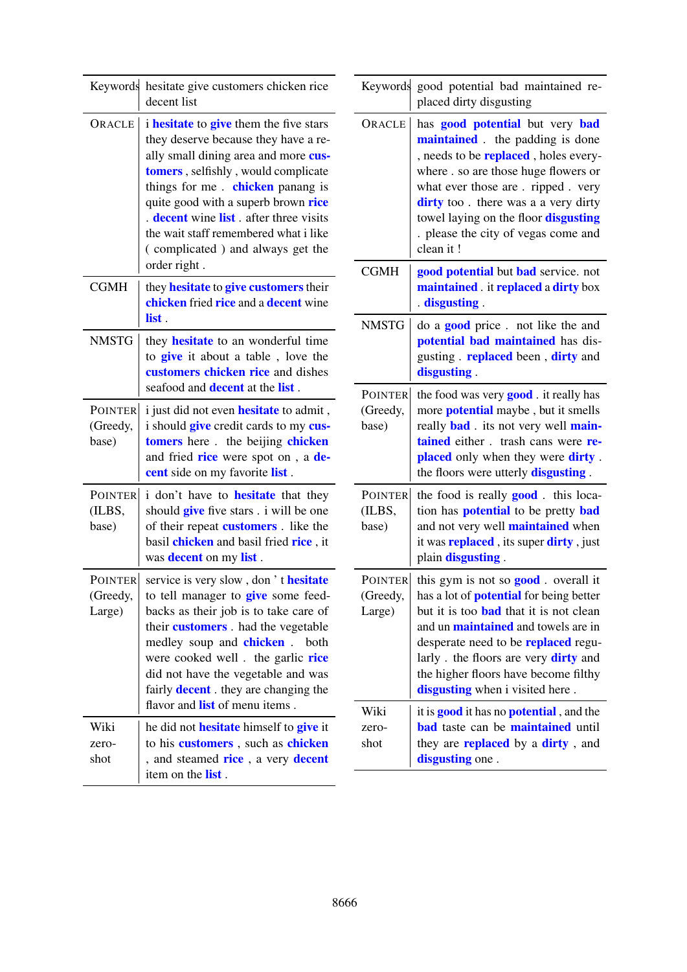| Keywords hesitate give customers chicken rice<br>decent list |                                                                                                                                                                                                                                                                                                                                                                                                                   | Keywords good potential bad maintained re-<br>placed dirty disgusting |                                                                                                                                                                                                                                                                                                                                                                       |  |  |
|--------------------------------------------------------------|-------------------------------------------------------------------------------------------------------------------------------------------------------------------------------------------------------------------------------------------------------------------------------------------------------------------------------------------------------------------------------------------------------------------|-----------------------------------------------------------------------|-----------------------------------------------------------------------------------------------------------------------------------------------------------------------------------------------------------------------------------------------------------------------------------------------------------------------------------------------------------------------|--|--|
| ORACLE                                                       | <i>i</i> hesitate to give them the five stars<br>they deserve because they have a re-<br>ally small dining area and more cus-<br>tomers, selfishly, would complicate<br>things for me. chicken panang is<br>quite good with a superb brown rice<br>. decent wine list . after three visits<br>the wait staff remembered what i like<br>(complicated) and always get the                                           | ORACLE                                                                | has <b>good</b> potential but very bad<br>maintained. the padding is done<br>, needs to be <b>replaced</b> , holes every-<br>where . so are those huge flowers or<br>what ever those are . ripped . very<br>dirty too. there was a a very dirty<br>towel laying on the floor disgusting<br>. please the city of vegas come and<br>clean it!                           |  |  |
| <b>CGMH</b>                                                  | order right.<br>they <b>hesitate</b> to <b>give customers</b> their<br>chicken fried rice and a decent wine                                                                                                                                                                                                                                                                                                       | <b>CGMH</b>                                                           | good potential but bad service. not<br>maintained. it replaced a dirty box<br>disgusting                                                                                                                                                                                                                                                                              |  |  |
| <b>NMSTG</b>                                                 | list.<br>they <b>hesitate</b> to an wonderful time<br>to <b>give</b> it about a table, love the<br>customers chicken rice and dishes                                                                                                                                                                                                                                                                              | <b>NMSTG</b>                                                          | do a <b>good</b> price. not like the and<br>potential bad maintained has dis-<br>gusting . replaced been, dirty and<br>disgusting.                                                                                                                                                                                                                                    |  |  |
| <b>POINTER</b><br>(Greedy,<br>base)                          | seafood and <b>decent</b> at the <b>list</b> .<br>i just did not even <b>hesitate</b> to admit,<br>i should <b>give</b> credit cards to my cus-<br>tomers here. the beijing chicken<br>and fried rice were spot on, a de-<br>cent side on my favorite list.                                                                                                                                                       | <b>POINTER</b><br>(Greedy,<br>base)                                   | the food was very <b>good</b> it really has<br>more <b>potential</b> maybe, but it smells<br>really <b>bad</b> its not very well main-<br>tained either. trash cans were re-<br>placed only when they were dirty.<br>the floors were utterly <b>disgusting</b> .                                                                                                      |  |  |
| <b>POINTER</b><br>(ILBS,<br>base)                            | i don't have to <b>hesitate</b> that they<br>should give five stars . i will be one<br>of their repeat <b>customers</b> . like the<br>basil chicken and basil fried rice, it<br>was <b>decent</b> on my list.                                                                                                                                                                                                     | POINTER<br>(ILBS,<br>base)                                            | the food is really <b>good</b> . this loca-<br>tion has <b>potential</b> to be pretty <b>bad</b><br>and not very well <b>maintained</b> when<br>it was <b>replaced</b> , its super <b>dirty</b> , just<br>plain disgusting.                                                                                                                                           |  |  |
| <b>POINTER</b><br>(Greedy,<br>Large)                         | service is very slow, don't hesitate<br><b>POINTER</b><br>(Greedy,<br>to tell manager to <b>give</b> some feed-<br>backs as their job is to take care of<br>Large)<br>their customers. had the vegetable<br>medley soup and <b>chicken</b> .<br>both<br>were cooked well. the garlic rice<br>did not have the vegetable and was<br>fairly <b>decent</b> . they are changing the<br>flavor and list of menu items. |                                                                       | this gym is not so <b>good</b> . overall it<br>has a lot of <b>potential</b> for being better<br>but it is too <b>bad</b> that it is not clean<br>and un <b>maintained</b> and towels are in<br>desperate need to be <b>replaced</b> regu-<br>larly . the floors are very <b>dirty</b> and<br>the higher floors have become filthy<br>disgusting when i visited here. |  |  |
| Wiki<br>zero-<br>shot                                        | he did not <b>hesitate</b> himself to <b>give</b> it<br>to his customers, such as chicken<br>, and steamed rice, a very decent<br>item on the <b>list</b> .                                                                                                                                                                                                                                                       | Wiki<br>zero-<br>shot                                                 | it is <b>good</b> it has no <b>potential</b> , and the<br><b>bad</b> taste can be maintained until<br>they are <b>replaced</b> by a <b>dirty</b> , and<br>disgusting one.                                                                                                                                                                                             |  |  |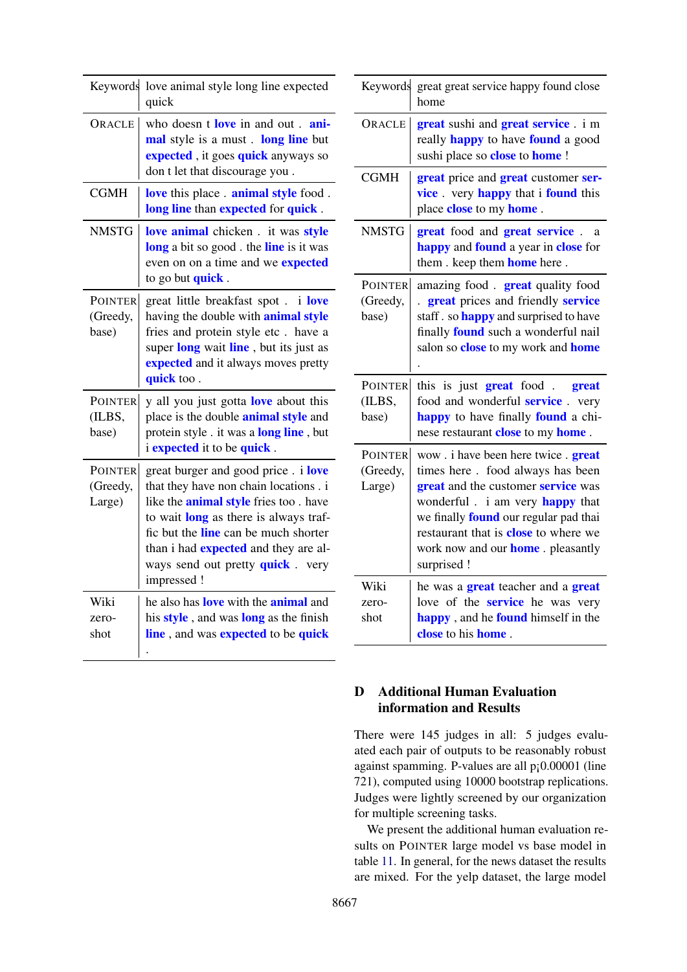| Keywords                             | love animal style long line expected<br>quick                                                                                                                                                                                                                                                                                  |
|--------------------------------------|--------------------------------------------------------------------------------------------------------------------------------------------------------------------------------------------------------------------------------------------------------------------------------------------------------------------------------|
| ORACLE                               | who doesn t love in and out ani-<br>mal style is a must. long line but<br>expected, it goes quick anyways so<br>don t let that discourage you.                                                                                                                                                                                 |
| <b>CGMH</b>                          | love this place . animal style food.<br>long line than expected for quick.                                                                                                                                                                                                                                                     |
| <b>NMSTG</b>                         | love animal chicken. it was style<br>long a bit so good. the line is it was<br>even on on a time and we <b>expected</b><br>to go but <b>quick</b> .                                                                                                                                                                            |
| <b>POINTER</b><br>(Greedy,<br>base)  | great little breakfast spot. i love<br>having the double with <b>animal style</b><br>fries and protein style etc. have a<br>super long wait line, but its just as<br>expected and it always moves pretty<br>quick too.                                                                                                         |
| <b>POINTER</b><br>(ILBS,<br>base)    | y all you just gotta love about this<br>place is the double <b>animal style</b> and<br>protein style . it was a long line, but<br><i>i</i> expected it to be quick.                                                                                                                                                            |
| <b>POINTER</b><br>(Greedy,<br>Large) | great burger and good price. i love<br>that they have non chain locations . i<br>like the <b>animal style</b> fries too. have<br>to wait <b>long</b> as there is always traf-<br>fic but the <b>line</b> can be much shorter<br>than i had <b>expected</b> and they are al-<br>ways send out pretty quick. very<br>impressed ! |
| Wiki<br>zero-<br>shot                | he also has love with the <b>animal</b> and<br>his style, and was long as the finish<br>line, and was expected to be quick                                                                                                                                                                                                     |

| Keywords                             | great great service happy found close<br>home                                                                                                                                                                                                                                                                               |
|--------------------------------------|-----------------------------------------------------------------------------------------------------------------------------------------------------------------------------------------------------------------------------------------------------------------------------------------------------------------------------|
| ORACLE                               | great sushi and great service. i m<br>really <b>happy</b> to have <b>found</b> a good<br>sushi place so close to home !                                                                                                                                                                                                     |
| <b>CGMH</b>                          | great price and great customer ser-<br>vice. very happy that i found this<br>place close to my home.                                                                                                                                                                                                                        |
| <b>NMSTG</b>                         | great food and great service.<br>a<br>happy and found a year in close for<br>them. keep them <b>home</b> here.                                                                                                                                                                                                              |
| <b>POINTER</b><br>(Greedy,<br>base)  | amazing food. great quality food<br>great prices and friendly service<br>staff. so <b>happy</b> and surprised to have<br>finally found such a wonderful nail<br>salon so <b>close</b> to my work and <b>home</b>                                                                                                            |
| <b>POINTER</b><br>(ILBS,<br>base)    | this is just great food<br>great<br>food and wonderful <b>service</b> . very<br>happy to have finally found a chi-<br>nese restaurant close to my home.                                                                                                                                                                     |
| <b>POINTER</b><br>(Greedy,<br>Large) | wow . i have been here twice . <b>great</b><br>times here. food always has been<br>great and the customer service was<br>wonderful . i am very <b>happy</b> that<br>we finally <b>found</b> our regular pad thai<br>restaurant that is <b>close</b> to where we<br>work now and our <b>home</b> . pleasantly<br>surprised ! |
| Wiki<br>zero-<br>shot                | he was a <b>great</b> teacher and a <b>great</b><br>love of the <b>service</b> he was very<br>happy, and he found himself in the                                                                                                                                                                                            |

## <span id="page-18-0"></span>D Additional Human Evaluation information and Results

There were 145 judges in all: 5 judges evaluated each pair of outputs to be reasonably robust against spamming. P-values are all p¡0.00001 (line 721), computed using 10000 bootstrap replications. Judges were lightly screened by our organization for multiple screening tasks.

We present the additional human evaluation results on POINTER large model vs base model in table [11.](#page-19-1) In general, for the news dataset the results are mixed. For the yelp dataset, the large model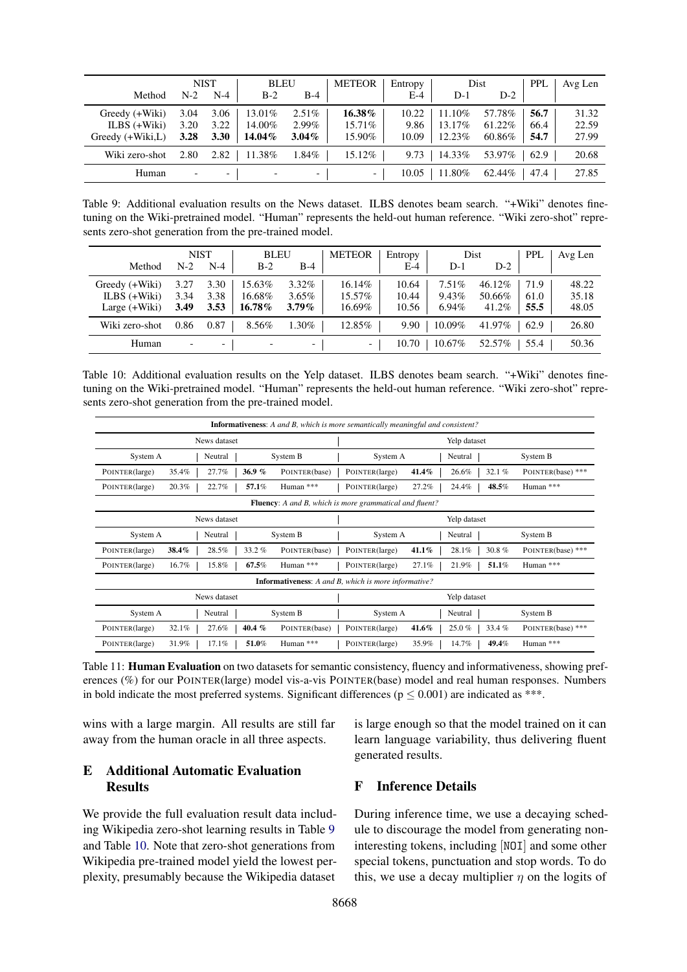<span id="page-19-2"></span>

|                  | <b>NIST</b>              |       | <b>BLEU</b> |                          | <b>METEOR</b>            | Entropy | Dist   |        | <b>PPL</b> | Avg Len |
|------------------|--------------------------|-------|-------------|--------------------------|--------------------------|---------|--------|--------|------------|---------|
| Method           | $N-2$                    | $N-4$ | $B-2$       | $B-4$                    |                          | E-4     | $D-1$  | $D-2$  |            |         |
| Greedy (+Wiki)   | 3.04                     | 3.06  | 13.01%      | $2.51\%$                 | 16.38%                   | 10.22   | 11.10% | 57.78% | 56.7       | 31.32   |
| ILBS $(+Wiki)$   | 3.20                     | 3.22  | 14.00%      | 2.99%                    | $15.71\%$                | 9.86    | 13.17% | 61.22% | 66.4       | 22.59   |
| Greedy (+Wiki,L) | 3.28                     | 3.30  | 14.04%      | $3.04\%$                 | 15.90%                   | 10.09   | 12.23% | 60.86% | 54.7       | 27.99   |
| Wiki zero-shot   | 2.80                     | 2.82  | 11.38%      | $1.84\%$                 | 15.12%                   | 9.73    | 14.33% | 53.97% | 62.9       | 20.68   |
| Human            | $\overline{\phantom{0}}$ |       |             | $\overline{\phantom{0}}$ | $\overline{\phantom{0}}$ | 10.05   | 11.80% | 62.44% | 47.4       | 27.85   |

Table 9: Additional evaluation results on the News dataset. ILBS denotes beam search. "+Wiki" denotes finetuning on the Wiki-pretrained model. "Human" represents the held-out human reference. "Wiki zero-shot" represents zero-shot generation from the pre-trained model.

<span id="page-19-3"></span>

|                |                          | <b>NIST</b> | <b>BLEU</b> |                          | <b>METEOR</b>            | Entropy |          | Dist      | <b>PPL</b> | Avg Len |
|----------------|--------------------------|-------------|-------------|--------------------------|--------------------------|---------|----------|-----------|------------|---------|
| Method         | $N-2$                    | $N-4$       | $B-2$       | $B-4$                    |                          | $E-4$   | $D-1$    | $D-2$     |            |         |
| Greedy (+Wiki) | 3.27                     | 3.30        | 15.63%      | $3.32\%$                 | 16.14%                   | 10.64   | $7.51\%$ | $46.12\%$ | 71.9       | 48.22   |
| ILBS $(+Wiki)$ | 3.34                     | 3.38        | 16.68%      | $3.65\%$                 | 15.57%                   | 10.44   | 9.43%    | 50.66%    | 61.0       | 35.18   |
| Large (+Wiki)  | 3.49                     | 3.53        | 16.78%      | $3.79\%$                 | 16.69%                   | 10.56   | $6.94\%$ | 41.2%     | 55.5       | 48.05   |
| Wiki zero-shot | 0.86                     | 0.87        | 8.56%       | 1.30%                    | 12.85%                   | 9.90    | 10.09%   | 41.97%    | 62.9       | 26.80   |
| Human          | $\overline{\phantom{0}}$ |             |             | $\overline{\phantom{0}}$ | $\overline{\phantom{0}}$ | 10.70   | 10.67%   | 52.57%    | 55.4       | 50.36   |

Table 10: Additional evaluation results on the Yelp dataset. ILBS denotes beam search. "+Wiki" denotes finetuning on the Wiki-pretrained model. "Human" represents the held-out human reference. "Wiki zero-shot" represents zero-shot generation from the pre-trained model.

<span id="page-19-1"></span>

| <b>Informativeness:</b> A and B, which is more semantically meaningful and consistent? |       |         |          |          |              |               |          |                |         |          |          |           |                   |
|----------------------------------------------------------------------------------------|-------|---------|----------|----------|--------------|---------------|----------|----------------|---------|----------|----------|-----------|-------------------|
| News dataset                                                                           |       |         |          |          |              | Yelp dataset  |          |                |         |          |          |           |                   |
| System A                                                                               |       | Neutral |          | System B |              |               | System A |                | Neutral |          | System B |           |                   |
| POINTER(large)                                                                         | 35.4% |         | 27.7%    |          | 36.9%        | POINTER(base) |          | POINTER(large) | 41.4%   |          | 26.6%    | 32.1%     | POINTER(base) *** |
| POINTER(large)                                                                         | 20.3% |         | 22.7%    |          | 57.1%        | Human ***     |          | POINTER(large) | 27.2%   |          | 24.4%    | 48.5%     | Human ***         |
| <b>Fluency:</b> A and B, which is more grammatical and fluent?                         |       |         |          |          |              |               |          |                |         |          |          |           |                   |
| News dataset                                                                           |       |         |          |          | Yelp dataset |               |          |                |         |          |          |           |                   |
| System A                                                                               |       | Neutral |          | System B |              | System A      |          | Neutral        |         | System B |          |           |                   |
| POINTER(large)                                                                         | 38.4% |         | 28.5%    |          | $33.2\%$     | POINTER(base) |          | POINTER(large) | 41.1%   |          | 28.1%    | $30.8 \%$ | POINTER(base) *** |
| POINTER(large)                                                                         | 16.7% |         | 15.8%    |          | 67.5%        | Human ***     |          | POINTER(large) | 27.1%   |          | 21.9%    | 51.1%     | Human ***         |
| <b>Informativeness:</b> A and B, which is more informative?                            |       |         |          |          |              |               |          |                |         |          |          |           |                   |
| News dataset                                                                           |       |         |          |          |              | Yelp dataset  |          |                |         |          |          |           |                   |
| System A<br>Neutral                                                                    |       |         | System B |          |              |               | System A |                | Neutral |          | System B |           |                   |
| POINTER(large)                                                                         | 32.1% |         | 27.6%    |          | 40.4 $%$     | POINTER(base) |          | POINTER(large) | 41.6%   |          | 25.0%    | 33.4%     | POINTER(base) *** |
| POINTER(large)                                                                         | 31.9% |         | 17.1%    |          | 51.0%        | Human ***     |          | POINTER(large) | 35.9%   |          | 14.7%    | 49.4%     | Human ***         |

Table 11: **Human Evaluation** on two datasets for semantic consistency, fluency and informativeness, showing preferences (%) for our POINTER(large) model vis-a-vis POINTER(base) model and real human responses. Numbers in bold indicate the most preferred systems. Significant differences ( $p \le 0.001$ ) are indicated as \*\*\*.

wins with a large margin. All results are still far away from the human oracle in all three aspects.

### <span id="page-19-0"></span>E Additional Automatic Evaluation **Results**

We provide the full evaluation result data including Wikipedia zero-shot learning results in Table [9](#page-19-2) and Table [10.](#page-19-3) Note that zero-shot generations from Wikipedia pre-trained model yield the lowest perplexity, presumably because the Wikipedia dataset is large enough so that the model trained on it can learn language variability, thus delivering fluent generated results.

## F Inference Details

During inference time, we use a decaying schedule to discourage the model from generating noninteresting tokens, including [NOI] and some other special tokens, punctuation and stop words. To do this, we use a decay multiplier  $\eta$  on the logits of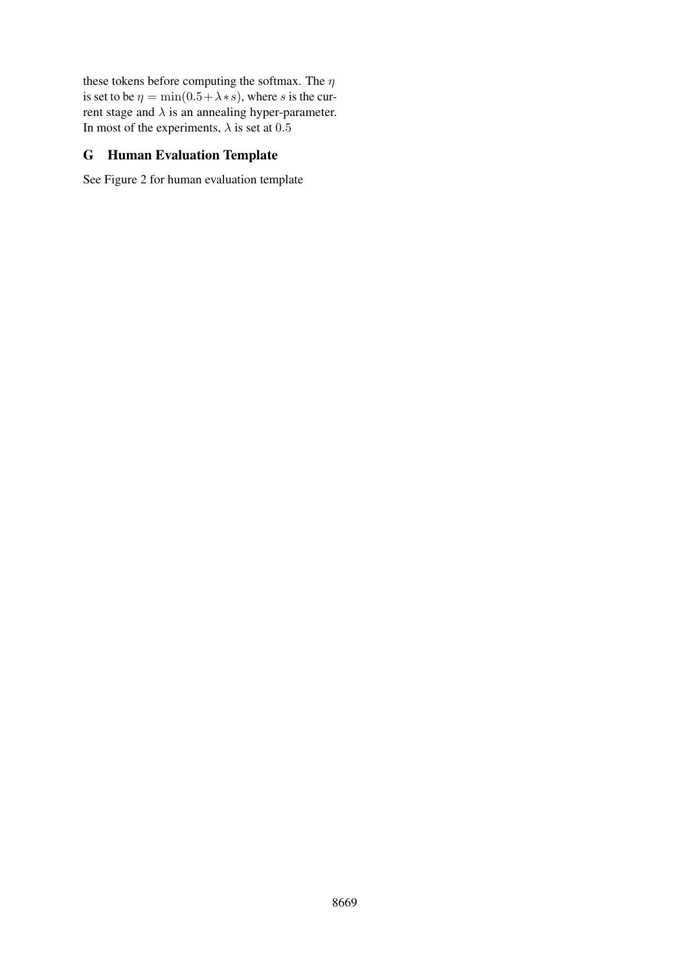these tokens before computing the softmax. The  $\eta$ is set to be  $\eta = \min(0.5 + \lambda * s)$ , where s is the current stage and  $\lambda$  is an annealing hyper-parameter. In most of the experiments,  $\lambda$  is set at 0.5

# <span id="page-20-0"></span>G Human Evaluation Template

See Figure [2](#page-21-0) for human evaluation template